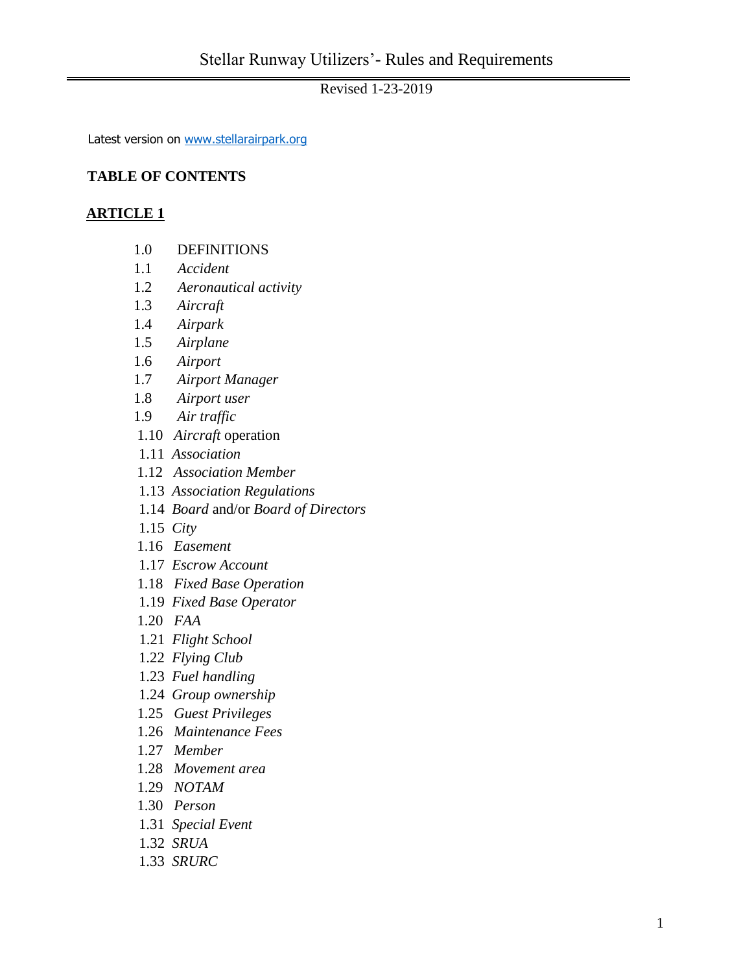Latest version on www.stellarairpark.org

#### **TABLE OF CONTENTS**

#### **ARTICLE 1**

- 1.0 DEFINITIONS
- 1.1 *Accident*
- 1.2 *Aeronautical activity*
- 1.3 *Aircraft*
- 1.4 *Airpark*
- 1.5 *Airplane*
- 1.6 *Airport*
- 1.7 *Airport Manager*
- 1.8 *Airport user*
- 1.9 *Air traffic*
- 1.10 *Aircraft* operation
- 1.11 *Association*
- 1.12 *Association Member*
- 1.13 *Association Regulations*
- 1.14 *Board* and/or *Board of Directors*
- 1.15 *City*
- 1.16 *Easement*
- 1.17 *Escrow Account*
- 1.18 *Fixed Base Operation*
- 1.19 *Fixed Base Operator*
- 1.20 *FAA*
- 1.21 *Flight School*
- 1.22 *Flying Club*
- 1.23 *Fuel handling*
- 1.24 *Group ownership*
- 1.25 *Guest Privileges*
- 1.26 *Maintenance Fees*
- 1.27 *Member*
- 1.28 *Movement area*
- 1.29 *NOTAM*
- 1.30 *Person*
- 1.31 *Special Event*
- 1.32 *SRUA*
- 1.33 *SRURC*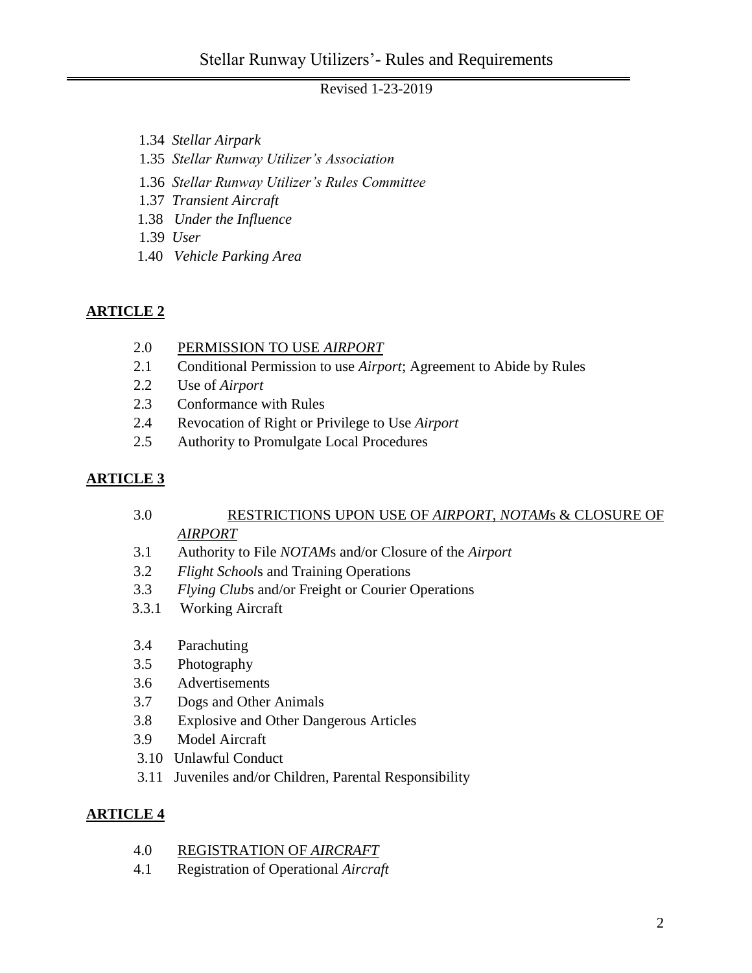- 1.34 *Stellar Airpark*
- 1.35 *Stellar Runway Utilizer's Association*
- 1.36 *Stellar Runway Utilizer's Rules Committee*
- 1.37 *Transient Aircraft*
- 1.38 *Under the Influence*
- 1.39 *User*
- 1.40 *Vehicle Parking Area*

# **ARTICLE 2**

- 2.0 PERMISSION TO USE *AIRPORT*
- 2.1 Conditional Permission to use *Airport*; Agreement to Abide by Rules
- 2.2 Use of *Airport*
- 2.3 Conformance with Rules
- 2.4 Revocation of Right or Privilege to Use *Airport*
- 2.5 Authority to Promulgate Local Procedures

# **ARTICLE 3**

- 3.0 RESTRICTIONS UPON USE OF *AIRPORT*, *NOTAM*s & CLOSURE OF *AIRPORT*
- 3.1 Authority to File *NOTAM*s and/or Closure of the *Airport*
- 3.2 *Flight School*s and Training Operations
- 3.3 *Flying Club*s and/or Freight or Courier Operations
- 3.3.1 Working Aircraft
- 3.4 Parachuting
- 3.5 Photography
- 3.6 Advertisements
- 3.7 Dogs and Other Animals
- 3.8 Explosive and Other Dangerous Articles
- 3.9 Model Aircraft
- 3.10 Unlawful Conduct
- 3.11 Juveniles and/or Children, Parental Responsibility

### **ARTICLE 4**

- 4.0 REGISTRATION OF *AIRCRAFT*
- 4.1 Registration of Operational *Aircraft*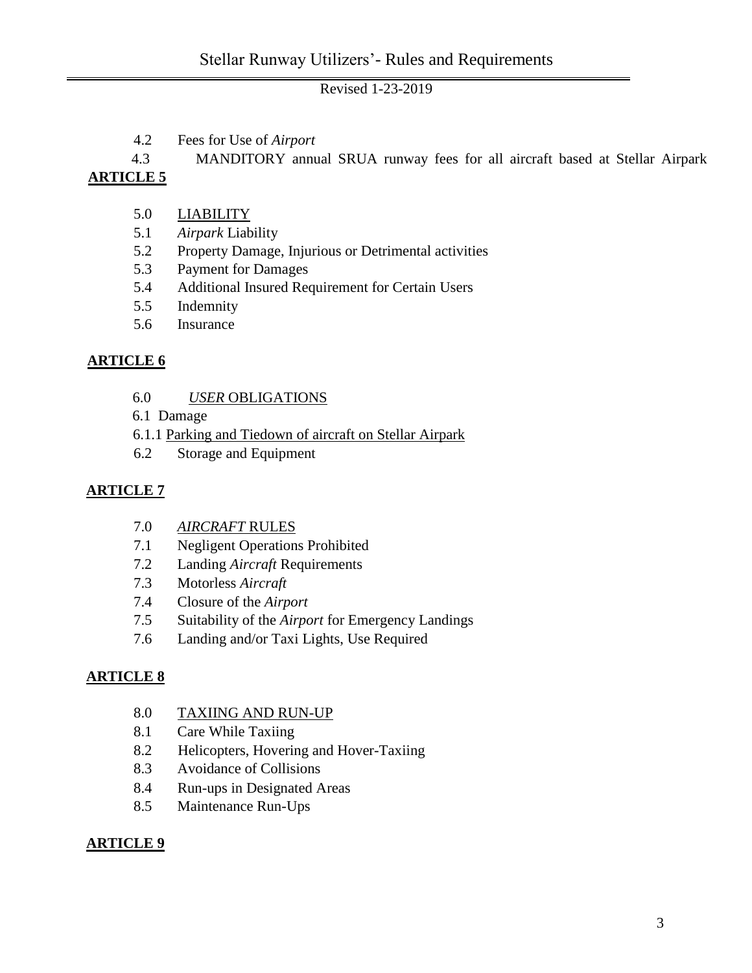- 4.2 Fees for Use of *Airport*
- 4.3 MANDITORY annual SRUA runway fees for all aircraft based at Stellar Airpark

# **ARTICLE 5**

- 5.0 LIABILITY
- 5.1 *Airpark* Liability
- 5.2 Property Damage, Injurious or Detrimental activities
- 5.3 Payment for Damages
- 5.4 Additional Insured Requirement for Certain Users
- 5.5 Indemnity
- 5.6 Insurance

# **ARTICLE 6**

- 6.0 *USER* OBLIGATIONS
- 6.1 Damage
- 6.1.1 Parking and Tiedown of aircraft on Stellar Airpark
- 6.2 Storage and Equipment

# **ARTICLE 7**

- 7.0 *AIRCRAFT* RULES
- 7.1 Negligent Operations Prohibited
- 7.2 Landing *Aircraft* Requirements
- 7.3 Motorless *Aircraft*
- 7.4 Closure of the *Airport*
- 7.5 Suitability of the *Airport* for Emergency Landings
- 7.6 Landing and/or Taxi Lights, Use Required

# **ARTICLE 8**

- 8.0 TAXIING AND RUN-UP
- 8.1 Care While Taxiing
- 8.2 Helicopters, Hovering and Hover-Taxiing
- 8.3 Avoidance of Collisions
- 8.4 Run-ups in Designated Areas
- 8.5 Maintenance Run-Ups

# **ARTICLE 9**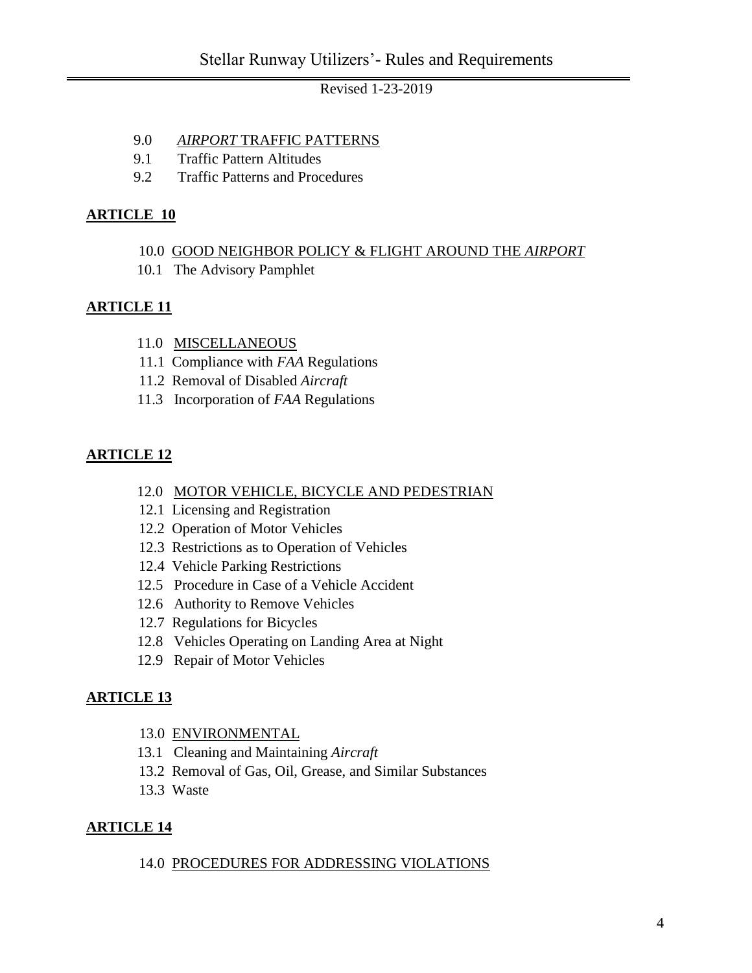- 9.0 *AIRPORT* TRAFFIC PATTERNS
- 9.1 Traffic Pattern Altitudes
- 9.2 Traffic Patterns and Procedures

# **ARTICLE 10**

- 10.0 GOOD NEIGHBOR POLICY & FLIGHT AROUND THE *AIRPORT*
- 10.1 The Advisory Pamphlet

# **ARTICLE 11**

- 11.0 MISCELLANEOUS
- 11.1 Compliance with *FAA* Regulations
- 11.2 Removal of Disabled *Aircraft*
- 11.3 Incorporation of *FAA* Regulations

# **ARTICLE 12**

- 12.0 MOTOR VEHICLE, BICYCLE AND PEDESTRIAN
- 12.1 Licensing and Registration
- 12.2 Operation of Motor Vehicles
- 12.3 Restrictions as to Operation of Vehicles
- 12.4 Vehicle Parking Restrictions
- 12.5 Procedure in Case of a Vehicle Accident
- 12.6 Authority to Remove Vehicles
- 12.7 Regulations for Bicycles
- 12.8 Vehicles Operating on Landing Area at Night
- 12.9 Repair of Motor Vehicles

# **ARTICLE 13**

- 13.0 ENVIRONMENTAL
- 13.1 Cleaning and Maintaining *Aircraft*
- 13.2 Removal of Gas, Oil, Grease, and Similar Substances
- 13.3 Waste

# **ARTICLE 14**

### 14.0 PROCEDURES FOR ADDRESSING VIOLATIONS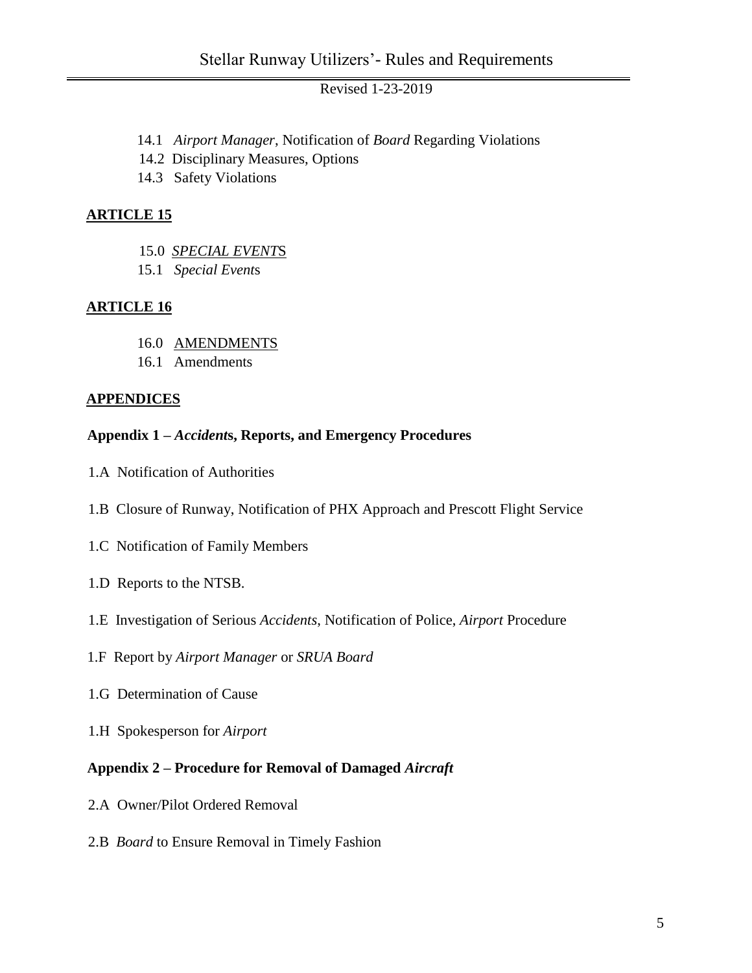- 14.1 *Airport Manager*, Notification of *Board* Regarding Violations
- 14.2 Disciplinary Measures, Options
- 14.3 Safety Violations

#### **ARTICLE 15**

- 15.0 *SPECIAL EVENT*S
- 15.1 *Special Event*s

#### **ARTICLE 16**

- 16.0 AMENDMENTS
- 16.1 Amendments

#### **APPENDICES**

#### **Appendix 1 –** *Accident***s, Reports, and Emergency Procedures**

- 1.A Notification of Authorities
- 1.B Closure of Runway, Notification of PHX Approach and Prescott Flight Service
- 1.C Notification of Family Members
- 1.D Reports to the NTSB.
- 1.E Investigation of Serious *Accidents*, Notification of Police, *Airport* Procedure
- 1.F Report by *Airport Manager* or *SRUA Board*
- 1.G Determination of Cause
- 1.H Spokesperson for *Airport*

#### **Appendix 2 – Procedure for Removal of Damaged** *Aircraft*

- 2.A Owner/Pilot Ordered Removal
- 2.B *Board* to Ensure Removal in Timely Fashion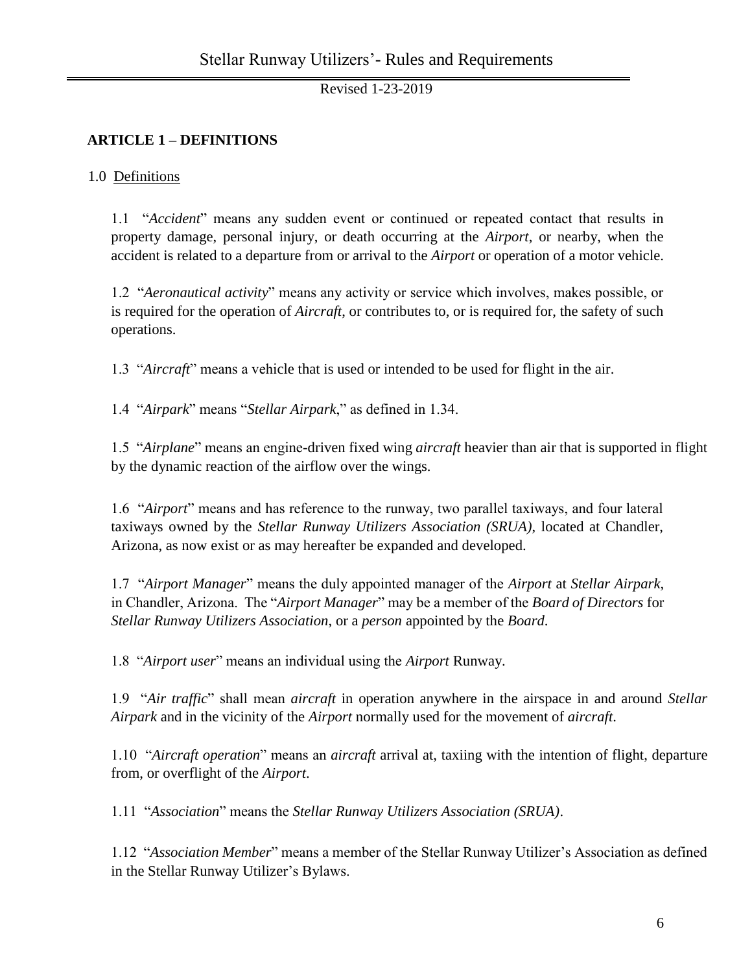# **ARTICLE 1 – DEFINITIONS**

# 1.0 Definitions

1.1 "*Accident*" means any sudden event or continued or repeated contact that results in property damage, personal injury, or death occurring at the *Airport*, or nearby, when the accident is related to a departure from or arrival to the *Airport* or operation of a motor vehicle.

1.2 "*Aeronautical activity*" means any activity or service which involves, makes possible, or is required for the operation of *Aircraft*, or contributes to, or is required for, the safety of such operations.

1.3 "*Aircraft*" means a vehicle that is used or intended to be used for flight in the air.

1.4 "*Airpark*" means "*Stellar Airpark*," as defined in 1.34.

1.5 "*Airplane*" means an engine-driven fixed wing *aircraft* heavier than air that is supported in flight by the dynamic reaction of the airflow over the wings.

1.6 "*Airport*" means and has reference to the runway, two parallel taxiways, and four lateral taxiways owned by the *Stellar Runway Utilizers Association (SRUA)*, located at Chandler, Arizona, as now exist or as may hereafter be expanded and developed.

1.7 "*Airport Manager*" means the duly appointed manager of the *Airport* at *Stellar Airpark*, in Chandler, Arizona. The "*Airport Manager*" may be a member of the *Board of Directors* for *Stellar Runway Utilizers Association*, or a *person* appointed by the *Board*.

1.8 "*Airport user*" means an individual using the *Airport* Runway.

1.9 "*Air traffic*" shall mean *aircraft* in operation anywhere in the airspace in and around *Stellar Airpark* and in the vicinity of the *Airport* normally used for the movement of *aircraft*.

1.10 "*Aircraft operation*" means an *aircraft* arrival at, taxiing with the intention of flight, departure from, or overflight of the *Airport*.

1.11 "*Association*" means the *Stellar Runway Utilizers Association (SRUA)*.

1.12 "*Association Member*" means a member of the Stellar Runway Utilizer's Association as defined in the Stellar Runway Utilizer's Bylaws.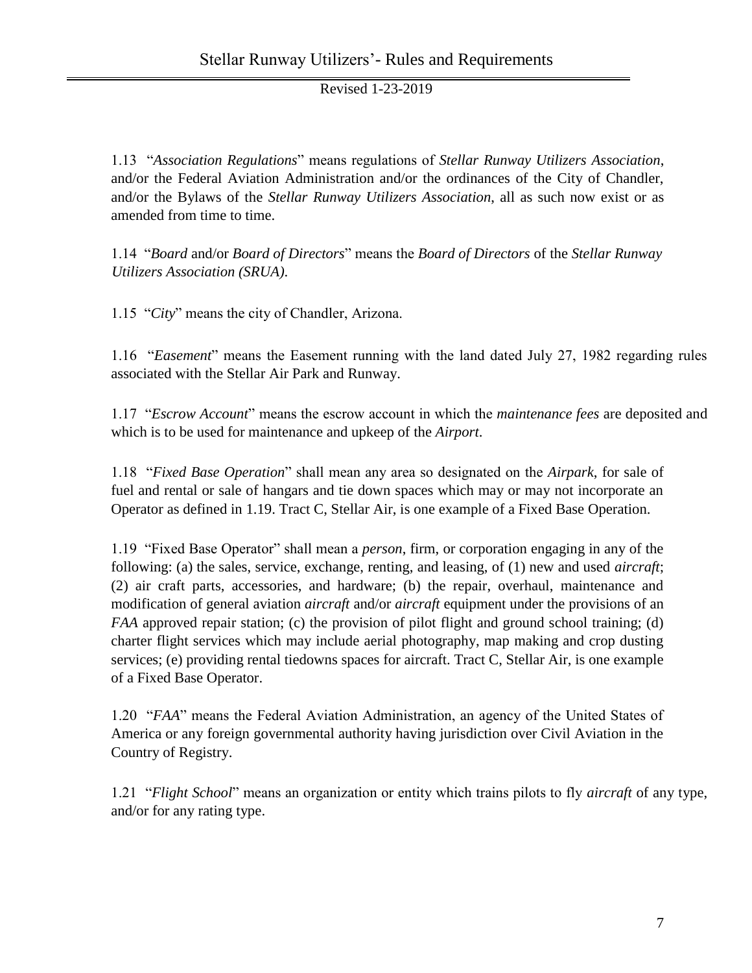1.13 "*Association Regulations*" means regulations of *Stellar Runway Utilizers Association*, and/or the Federal Aviation Administration and/or the ordinances of the City of Chandler, and/or the Bylaws of the *Stellar Runway Utilizers Association*, all as such now exist or as amended from time to time.

1.14 "*Board* and/or *Board of Directors*" means the *Board of Directors* of the *Stellar Runway Utilizers Association (SRUA)*.

1.15 "*City*" means the city of Chandler, Arizona.

1.16 "*Easement*" means the Easement running with the land dated July 27, 1982 regarding rules associated with the Stellar Air Park and Runway.

1.17 "*Escrow Account*" means the escrow account in which the *maintenance fees* are deposited and which is to be used for maintenance and upkeep of the *Airport*.

1.18 "*Fixed Base Operation*" shall mean any area so designated on the *Airpark*, for sale of fuel and rental or sale of hangars and tie down spaces which may or may not incorporate an Operator as defined in 1.19. Tract C, Stellar Air, is one example of a Fixed Base Operation.

1.19 "Fixed Base Operator" shall mean a *person*, firm, or corporation engaging in any of the following: (a) the sales, service, exchange, renting, and leasing, of (1) new and used *aircraft*; (2) air craft parts, accessories, and hardware; (b) the repair, overhaul, maintenance and modification of general aviation *aircraft* and/or *aircraft* equipment under the provisions of an *FAA* approved repair station; (c) the provision of pilot flight and ground school training; (d) charter flight services which may include aerial photography, map making and crop dusting services; (e) providing rental tiedowns spaces for aircraft. Tract C, Stellar Air, is one example of a Fixed Base Operator.

1.20 "*FAA*" means the Federal Aviation Administration, an agency of the United States of America or any foreign governmental authority having jurisdiction over Civil Aviation in the Country of Registry.

1.21 "*Flight School*" means an organization or entity which trains pilots to fly *aircraft* of any type, and/or for any rating type.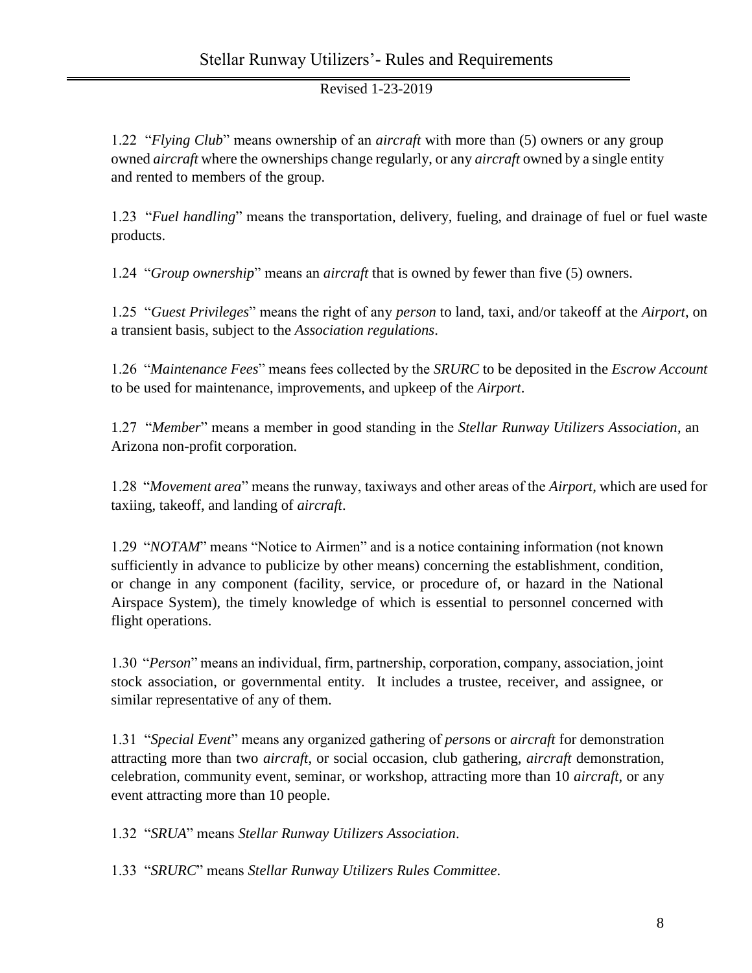1.22 "*Flying Club*" means ownership of an *aircraft* with more than (5) owners or any group owned *aircraft* where the ownerships change regularly, or any *aircraft* owned by a single entity and rented to members of the group.

1.23 "*Fuel handling*" means the transportation, delivery, fueling, and drainage of fuel or fuel waste products.

1.24 "*Group ownership*" means an *aircraft* that is owned by fewer than five (5) owners.

1.25 "*Guest Privileges*" means the right of any *person* to land, taxi, and/or takeoff at the *Airport*, on a transient basis, subject to the *Association regulations*.

1.26 "*Maintenance Fees*" means fees collected by the *SRURC* to be deposited in the *Escrow Account* to be used for maintenance, improvements, and upkeep of the *Airport*.

1.27 "*Member*" means a member in good standing in the *Stellar Runway Utilizers Association*, an Arizona non-profit corporation.

1.28 "*Movement area*" means the runway, taxiways and other areas of the *Airport*, which are used for taxiing, takeoff, and landing of *aircraft*.

1.29 "*NOTAM*" means "Notice to Airmen" and is a notice containing information (not known sufficiently in advance to publicize by other means) concerning the establishment, condition, or change in any component (facility, service, or procedure of, or hazard in the National Airspace System), the timely knowledge of which is essential to personnel concerned with flight operations.

1.30 "*Person*" means an individual, firm, partnership, corporation, company, association, joint stock association, or governmental entity. It includes a trustee, receiver, and assignee, or similar representative of any of them.

1.31 "*Special Event*" means any organized gathering of *person*s or *aircraft* for demonstration attracting more than two *aircraft*, or social occasion, club gathering, *aircraft* demonstration, celebration, community event, seminar, or workshop, attracting more than 10 *aircraft*, or any event attracting more than 10 people.

1.32 "*SRUA*" means *Stellar Runway Utilizers Association*.

1.33 "*SRURC*" means *Stellar Runway Utilizers Rules Committee*.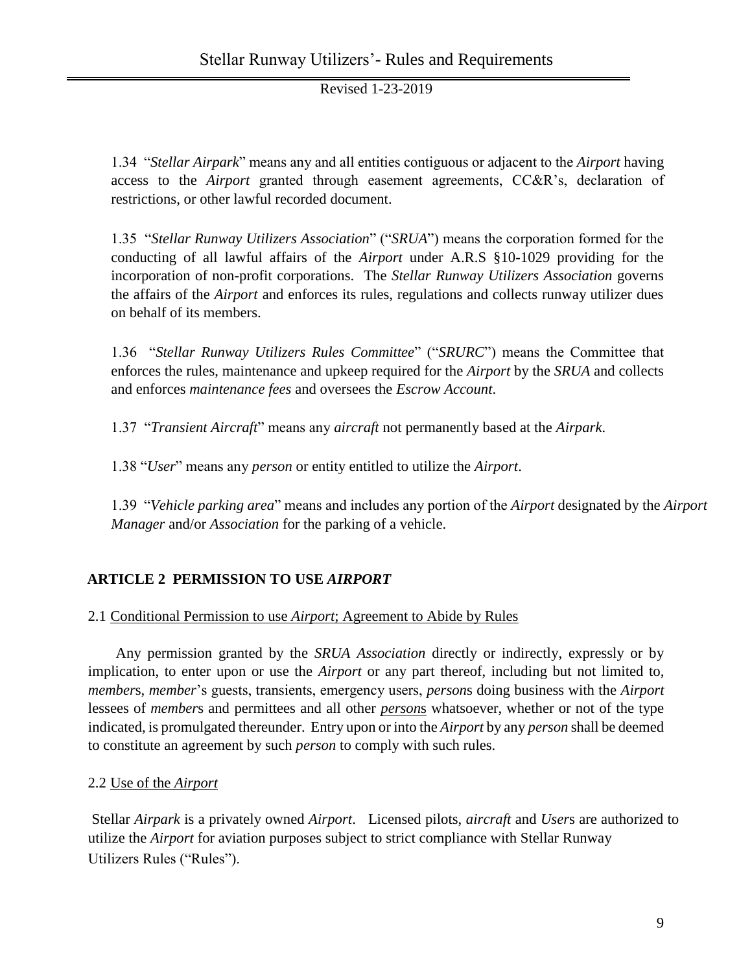1.34 "*Stellar Airpark*" means any and all entities contiguous or adjacent to the *Airport* having access to the *Airport* granted through easement agreements, CC&R's, declaration of restrictions, or other lawful recorded document.

1.35 "*Stellar Runway Utilizers Association*" ("*SRUA*") means the corporation formed for the conducting of all lawful affairs of the *Airport* under A.R.S §10-1029 providing for the incorporation of non-profit corporations. The *Stellar Runway Utilizers Association* governs the affairs of the *Airport* and enforces its rules, regulations and collects runway utilizer dues on behalf of its members.

1.36 "*Stellar Runway Utilizers Rules Committee*" ("*SRURC*") means the Committee that enforces the rules, maintenance and upkeep required for the *Airport* by the *SRUA* and collects and enforces *maintenance fees* and oversees the *Escrow Account*.

1.37 "*Transient Aircraft*" means any *aircraft* not permanently based at the *Airpark*.

1.38 "*User*" means any *person* or entity entitled to utilize the *Airport*.

1.39 "*Vehicle parking area*" means and includes any portion of the *Airport* designated by the *Airport Manager* and/or *Association* for the parking of a vehicle.

# **ARTICLE 2 PERMISSION TO USE** *AIRPORT*

# 2.1 Conditional Permission to use *Airport*; Agreement to Abide by Rules

Any permission granted by the *SRUA Association* directly or indirectly, expressly or by implication, to enter upon or use the *Airport* or any part thereof, including but not limited to, *member*s, *member*'s guests, transients, emergency users, *person*s doing business with the *Airport* lessees of *member*s and permittees and all other *person*s whatsoever, whether or not of the type indicated, is promulgated thereunder. Entry upon or into the *Airport* by any *person* shall be deemed to constitute an agreement by such *person* to comply with such rules.

# 2.2 Use of the *Airport*

Stellar *Airpark* is a privately owned *Airport*. Licensed pilots, *aircraft* and *User*s are authorized to utilize the *Airport* for aviation purposes subject to strict compliance with Stellar Runway Utilizers Rules ("Rules").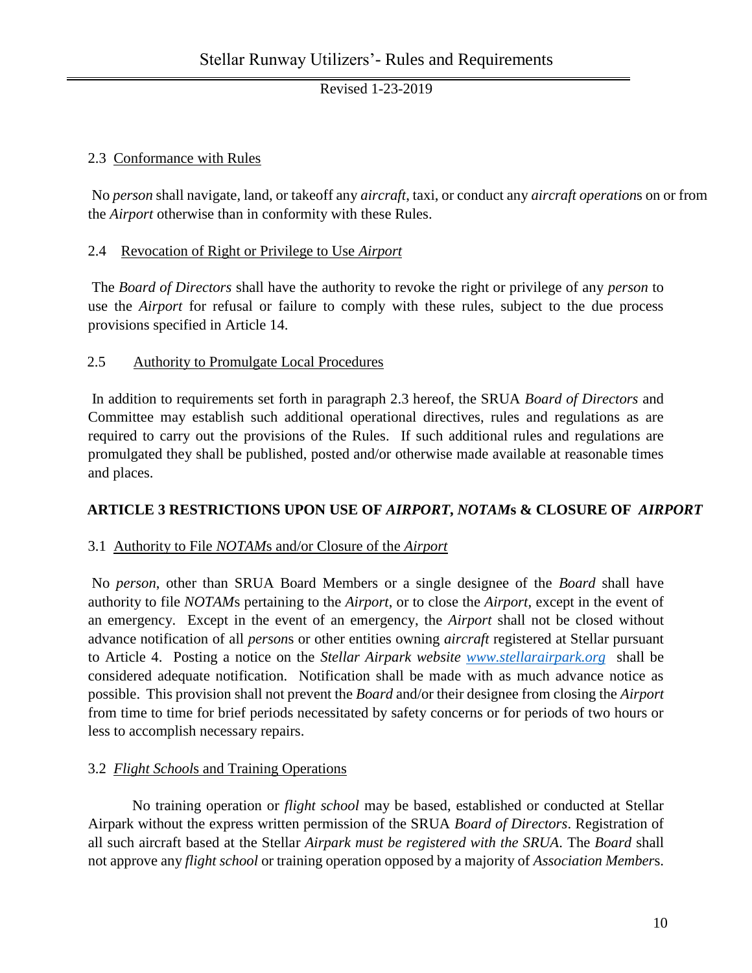# 2.3 Conformance with Rules

No *person* shall navigate, land, or takeoff any *aircraft*, taxi, or conduct any *aircraft operation*s on or from the *Airport* otherwise than in conformity with these Rules.

# 2.4 Revocation of Right or Privilege to Use *Airport*

The *Board of Directors* shall have the authority to revoke the right or privilege of any *person* to use the *Airport* for refusal or failure to comply with these rules, subject to the due process provisions specified in Article 14.

# 2.5 Authority to Promulgate Local Procedures

In addition to requirements set forth in paragraph 2.3 hereof, the SRUA *Board of Directors* and Committee may establish such additional operational directives, rules and regulations as are required to carry out the provisions of the Rules. If such additional rules and regulations are promulgated they shall be published, posted and/or otherwise made available at reasonable times and places.

# **ARTICLE 3 RESTRICTIONS UPON USE OF** *AIRPORT***,** *NOTAM***s & CLOSURE OF** *AIRPORT*

### 3.1 Authority to File *NOTAM*s and/or Closure of the *Airport*

No *person*, other than SRUA Board Members or a single designee of the *Board* shall have authority to file *NOTAM*s pertaining to the *Airport*, or to close the *Airport*, except in the event of an emergency. Except in the event of an emergency, the *Airport* shall not be closed without advance notification of all *person*s or other entities owning *aircraft* registered at Stellar pursuant to Article 4. Posting a notice on the *Stellar Airpark website [www.stellarairpark.org](http://www.stellarairpark.org/)* shall be considered adequate notification. Notification shall be made with as much advance notice as possible. This provision shall not prevent the *Board* and/or their designee from closing the *Airport* from time to time for brief periods necessitated by safety concerns or for periods of two hours or less to accomplish necessary repairs.

### 3.2 *Flight School*s and Training Operations

No training operation or *flight school* may be based, established or conducted at Stellar Airpark without the express written permission of the SRUA *Board of Directors*. Registration of all such aircraft based at the Stellar *Airpark must be registered with the SRUA*. The *Board* shall not approve any *flight school* or training operation opposed by a majority of *Association Member*s.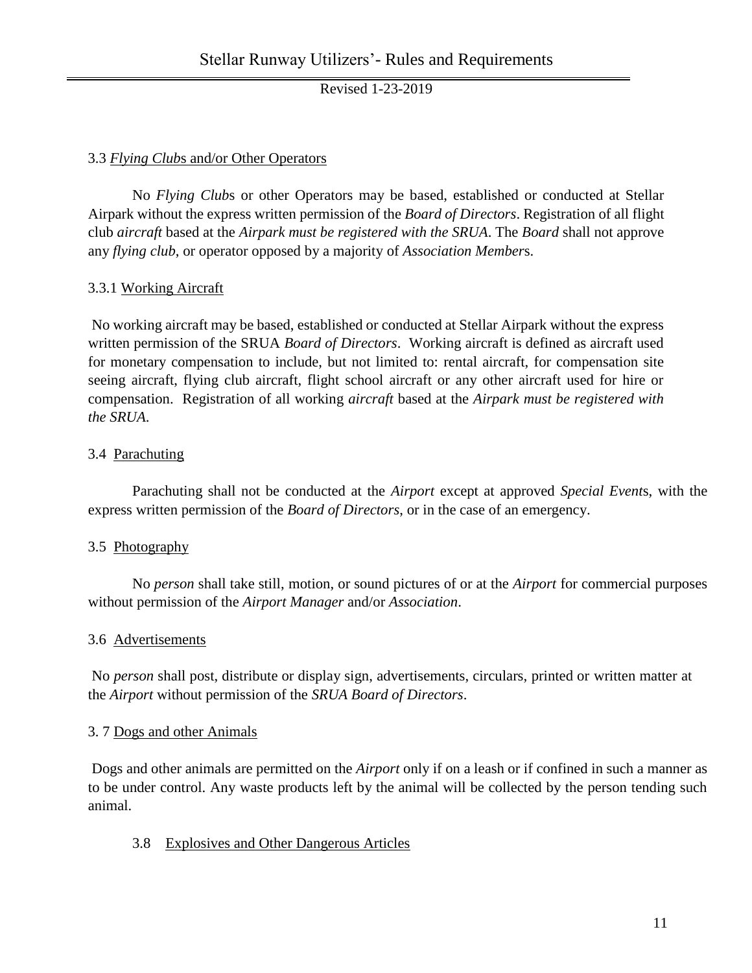### 3.3 *Flying Club*s and/or Other Operators

No *Flying Club*s or other Operators may be based, established or conducted at Stellar Airpark without the express written permission of the *Board of Directors*. Registration of all flight club *aircraft* based at the *Airpark must be registered with the SRUA*. The *Board* shall not approve any *flying club*, or operator opposed by a majority of *Association Member*s.

# 3.3.1 Working Aircraft

No working aircraft may be based, established or conducted at Stellar Airpark without the express written permission of the SRUA *Board of Directors*. Working aircraft is defined as aircraft used for monetary compensation to include, but not limited to: rental aircraft, for compensation site seeing aircraft, flying club aircraft, flight school aircraft or any other aircraft used for hire or compensation. Registration of all working *aircraft* based at the *Airpark must be registered with the SRUA*.

# 3.4 Parachuting

Parachuting shall not be conducted at the *Airport* except at approved *Special Event*s, with the express written permission of the *Board of Directors*, or in the case of an emergency.

### 3.5 Photography

No *person* shall take still, motion, or sound pictures of or at the *Airport* for commercial purposes without permission of the *Airport Manager* and/or *Association*.

### 3.6 Advertisements

No *person* shall post, distribute or display sign, advertisements, circulars, printed or written matter at the *Airport* without permission of the *SRUA Board of Directors*.

#### 3. 7 Dogs and other Animals

Dogs and other animals are permitted on the *Airport* only if on a leash or if confined in such a manner as to be under control. Any waste products left by the animal will be collected by the person tending such animal.

### 3.8 Explosives and Other Dangerous Articles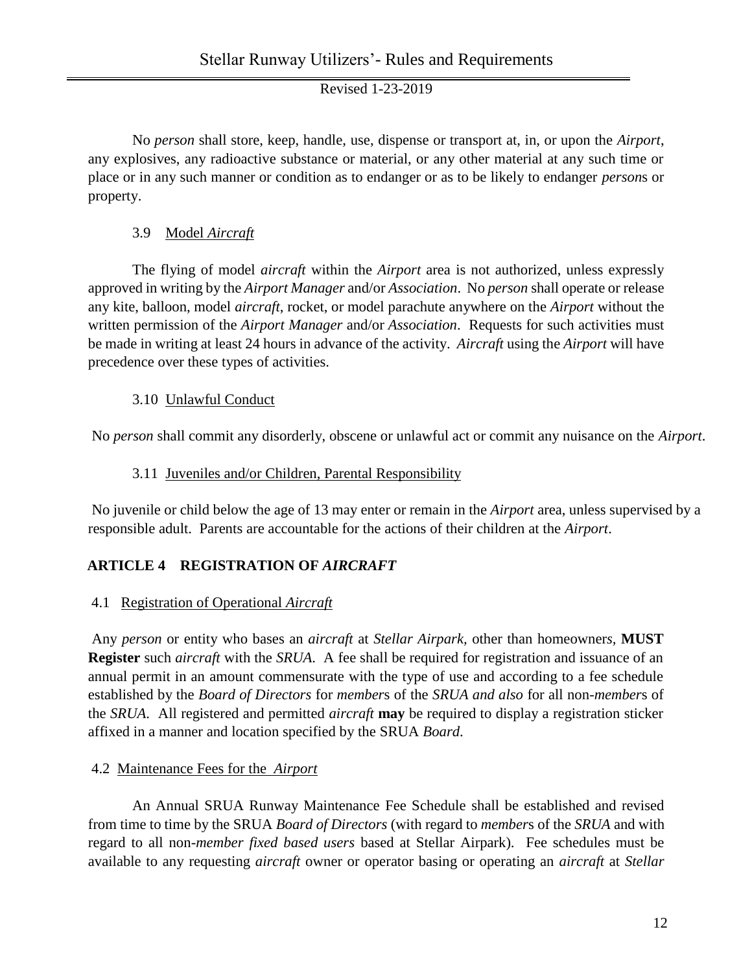No *person* shall store, keep, handle, use, dispense or transport at, in, or upon the *Airport*, any explosives, any radioactive substance or material, or any other material at any such time or place or in any such manner or condition as to endanger or as to be likely to endanger *person*s or property.

# 3.9 Model *Aircraft*

The flying of model *aircraft* within the *Airport* area is not authorized, unless expressly approved in writing by the *Airport Manager* and/or *Association*. No *person* shall operate or release any kite, balloon, model *aircraft*, rocket, or model parachute anywhere on the *Airport* without the written permission of the *Airport Manager* and/or *Association*. Requests for such activities must be made in writing at least 24 hours in advance of the activity. *Aircraft* using the *Airport* will have precedence over these types of activities.

# 3.10 Unlawful Conduct

No *person* shall commit any disorderly, obscene or unlawful act or commit any nuisance on the *Airport*.

# 3.11 Juveniles and/or Children, Parental Responsibility

No juvenile or child below the age of 13 may enter or remain in the *Airport* area, unless supervised by a responsible adult. Parents are accountable for the actions of their children at the *Airport*.

# **ARTICLE 4 REGISTRATION OF** *AIRCRAFT*

# 4.1 Registration of Operational *Aircraft*

Any *person* or entity who bases an *aircraft* at *Stellar Airpark,* other than homeowner*s,* **MUST Register** such *aircraft* with the *SRUA*. A fee shall be required for registration and issuance of an annual permit in an amount commensurate with the type of use and according to a fee schedule established by the *Board of Directors* for *member*s of the *SRUA and also* for all non-*member*s of the *SRUA*. All registered and permitted *aircraft* **may** be required to display a registration sticker affixed in a manner and location specified by the SRUA *Board*.

# 4.2 Maintenance Fees for the *Airport*

An Annual SRUA Runway Maintenance Fee Schedule shall be established and revised from time to time by the SRUA *Board of Directors* (with regard to *member*s of the *SRUA* and with regard to all non-*member fixed based users* based at Stellar Airpark). Fee schedules must be available to any requesting *aircraft* owner or operator basing or operating an *aircraft* at *Stellar*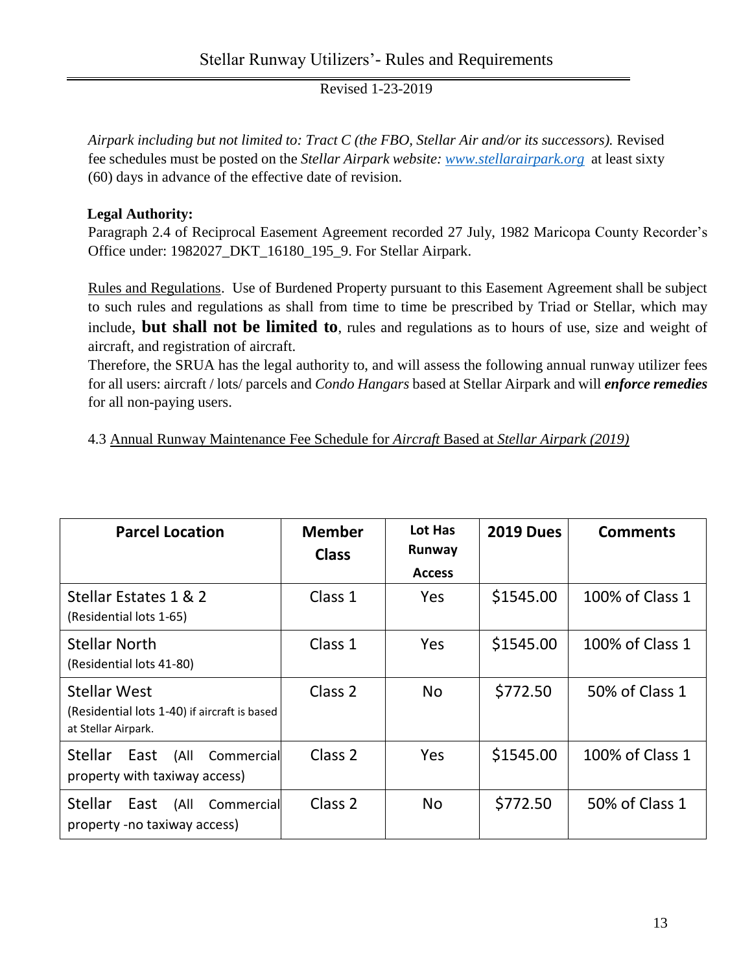*Airpark including but not limited to: Tract C (the FBO, Stellar Air and/or its successors).* Revised fee schedules must be posted on the *Stellar Airpark website: [www.stellarairpark.org](http://www.stellarairpark.org/)* at least sixty (60) days in advance of the effective date of revision.

# **Legal Authority:**

Paragraph 2.4 of Reciprocal Easement Agreement recorded 27 July, 1982 Maricopa County Recorder's Office under: 1982027\_DKT\_16180\_195\_9. For Stellar Airpark.

Rules and Regulations. Use of Burdened Property pursuant to this Easement Agreement shall be subject to such rules and regulations as shall from time to time be prescribed by Triad or Stellar, which may include, **but shall not be limited to**, rules and regulations as to hours of use, size and weight of aircraft, and registration of aircraft.

Therefore, the SRUA has the legal authority to, and will assess the following annual runway utilizer fees for all users: aircraft / lots/ parcels and *Condo Hangars* based at Stellar Airpark and will *enforce remedies* for all non-paying users.

4.3 Annual Runway Maintenance Fee Schedule for *Aircraft* Based at *Stellar Airpark (2019)*

| <b>Parcel Location</b>                                                                     | <b>Member</b><br><b>Class</b> | Lot Has<br>Runway<br><b>Access</b> | <b>2019 Dues</b> | <b>Comments</b> |
|--------------------------------------------------------------------------------------------|-------------------------------|------------------------------------|------------------|-----------------|
| Stellar Estates 1 & 2<br>(Residential lots 1-65)                                           | Class 1                       | <b>Yes</b>                         | \$1545.00        | 100% of Class 1 |
| <b>Stellar North</b><br>(Residential lots 41-80)                                           | Class 1                       | <b>Yes</b>                         | \$1545.00        | 100% of Class 1 |
| <b>Stellar West</b><br>(Residential lots 1-40) if aircraft is based<br>at Stellar Airpark. | Class 2                       | <b>No</b>                          | \$772.50         | 50% of Class 1  |
| <b>Stellar</b><br>East<br>(All<br>Commercial<br>property with taxiway access)              | Class 2                       | <b>Yes</b>                         | \$1545.00        | 100% of Class 1 |
| <b>Stellar</b><br>East<br>(All<br>Commercial<br>property -no taxiway access)               | Class 2                       | <b>No</b>                          | \$772.50         | 50% of Class 1  |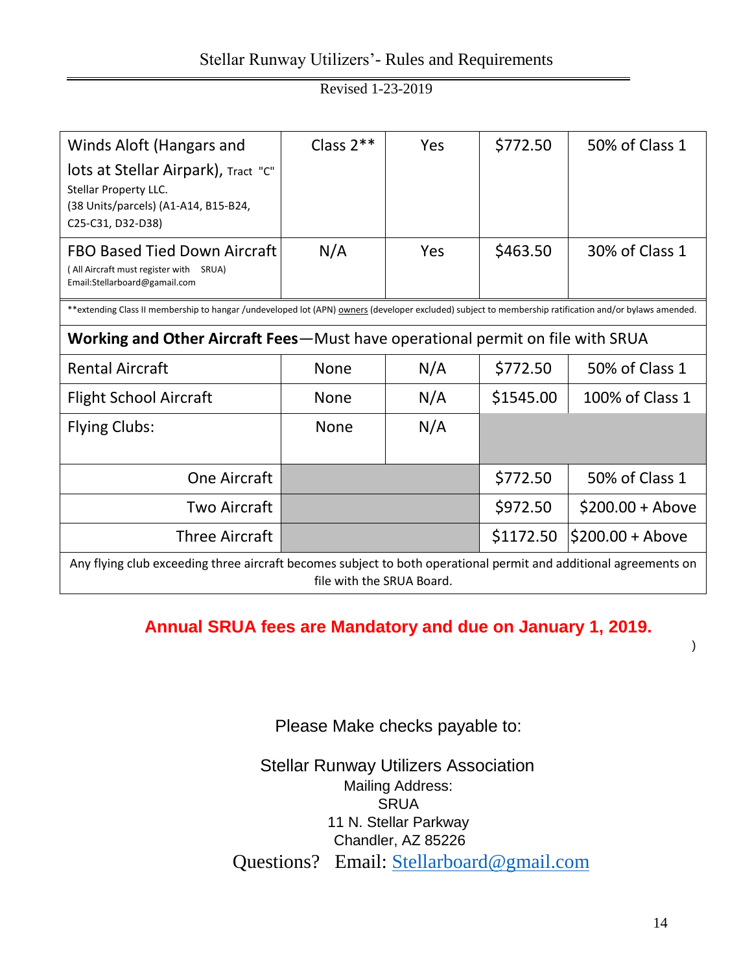# Stellar Runway Utilizers'- Rules and Requirements

Revised 1-23-2019

| Winds Aloft (Hangars and                                                                                                                               | Class $2**$ | Yes        | \$772.50  | 50% of Class 1    |  |  |
|--------------------------------------------------------------------------------------------------------------------------------------------------------|-------------|------------|-----------|-------------------|--|--|
| lots at Stellar Airpark), Tract "C"<br><b>Stellar Property LLC.</b><br>(38 Units/parcels) (A1-A14, B15-B24,<br>C25-C31, D32-D38)                       |             |            |           |                   |  |  |
| <b>FBO Based Tied Down Aircraft</b><br>(All Aircraft must register with SRUA)<br>Email:Stellarboard@gamail.com                                         | N/A         | <b>Yes</b> | \$463.50  | 30% of Class 1    |  |  |
| **extending Class II membership to hangar /undeveloped lot (APN) owners (developer excluded) subject to membership ratification and/or bylaws amended. |             |            |           |                   |  |  |
| <b>Working and Other Aircraft Fees</b> —Must have operational permit on file with SRUA                                                                 |             |            |           |                   |  |  |
| <b>Rental Aircraft</b>                                                                                                                                 | <b>None</b> | N/A        | \$772.50  | 50% of Class 1    |  |  |
| <b>Flight School Aircraft</b>                                                                                                                          | <b>None</b> | N/A        | \$1545.00 | 100% of Class 1   |  |  |
| <b>Flying Clubs:</b>                                                                                                                                   | <b>None</b> | N/A        |           |                   |  |  |
| <b>One Aircraft</b>                                                                                                                                    |             |            | \$772.50  | 50% of Class 1    |  |  |
| <b>Two Aircraft</b>                                                                                                                                    |             |            | \$972.50  | $$200.00 + Above$ |  |  |
| <b>Three Aircraft</b>                                                                                                                                  |             |            | \$1172.50 | $$200.00 + Above$ |  |  |
| Any flying club exceeding three aircraft becomes subject to both operational permit and additional agreements on<br>file with the SRUA Board.          |             |            |           |                   |  |  |

# **Annual SRUA fees are Mandatory and due on January 1, 2019.**

)

Please Make checks payable to:

Stellar Runway Utilizers Association Mailing Address: **SRUA** 11 N. Stellar Parkway Chandler, AZ 85226 Questions? Email: Stellarboard@gmail.com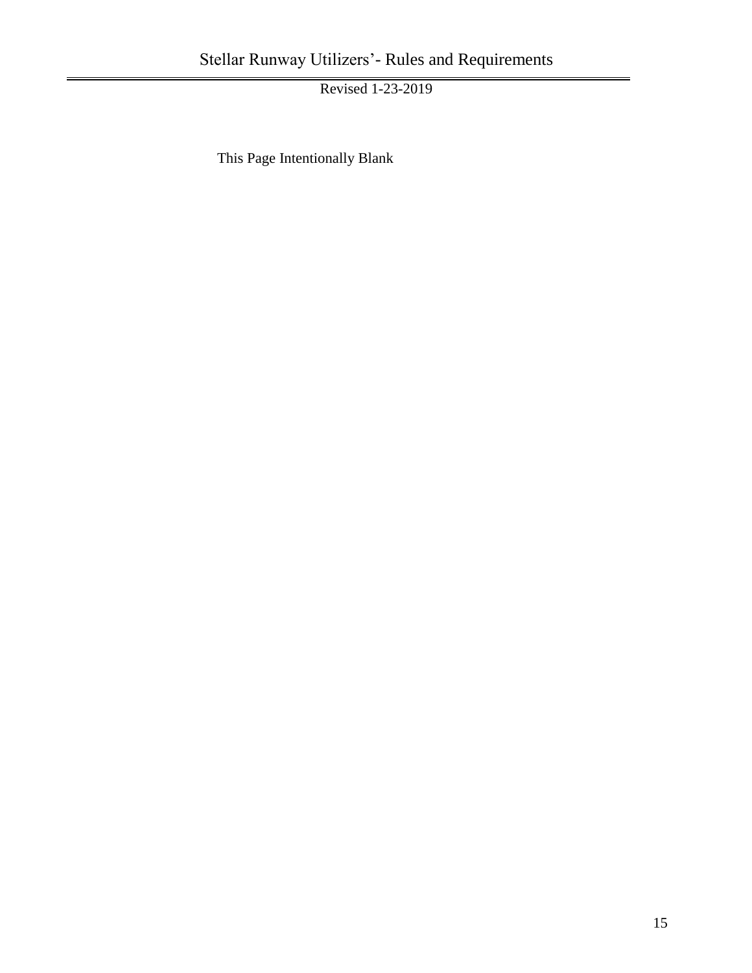This Page Intentionally Blank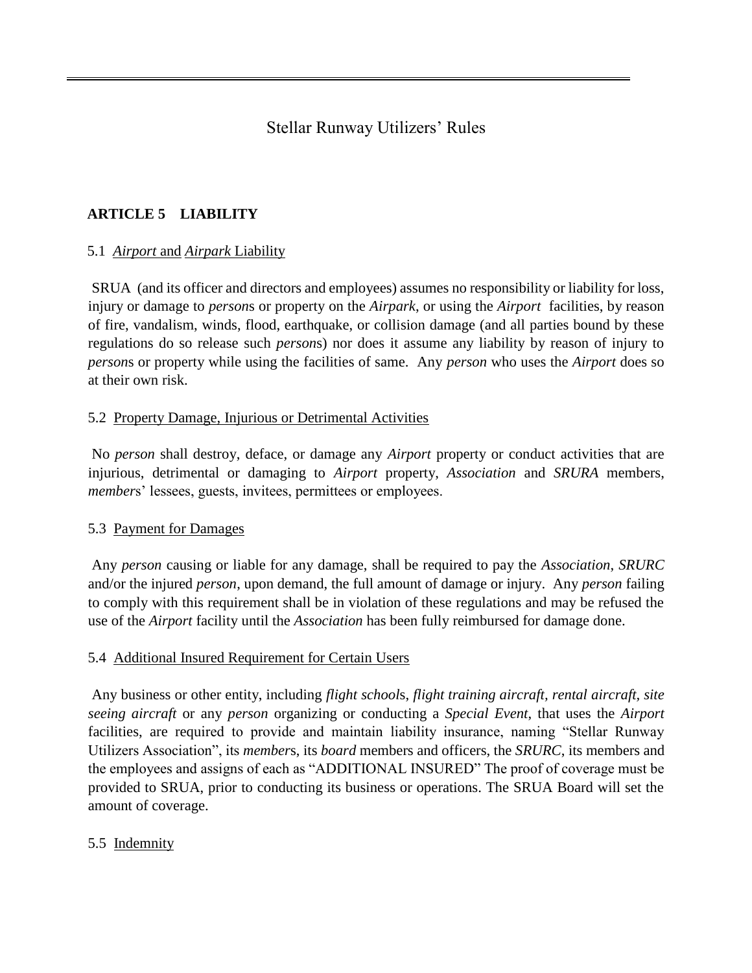# Stellar Runway Utilizers' Rules

# **ARTICLE 5 LIABILITY**

#### 5.1 *Airport* and *Airpark* Liability

SRUA (and its officer and directors and employees) assumes no responsibility or liability for loss, injury or damage to *person*s or property on the *Airpark*, or using the *Airport* facilities, by reason of fire, vandalism, winds, flood, earthquake, or collision damage (and all parties bound by these regulations do so release such *person*s) nor does it assume any liability by reason of injury to *person*s or property while using the facilities of same. Any *person* who uses the *Airport* does so at their own risk.

#### 5.2 Property Damage, Injurious or Detrimental Activities

No *person* shall destroy, deface, or damage any *Airport* property or conduct activities that are injurious, detrimental or damaging to *Airport* property, *Association* and *SRURA* members, *member*s' lessees, guests, invitees, permittees or employees.

#### 5.3 Payment for Damages

Any *person* causing or liable for any damage, shall be required to pay the *Association*, *SRURC* and/or the injured *person*, upon demand, the full amount of damage or injury. Any *person* failing to comply with this requirement shall be in violation of these regulations and may be refused the use of the *Airport* facility until the *Association* has been fully reimbursed for damage done.

### 5.4 Additional Insured Requirement for Certain Users

Any business or other entity, including *flight school*s, *flight training aircraft, rental aircraft, site seeing aircraft* or any *person* organizing or conducting a *Special Event*, that uses the *Airport* facilities, are required to provide and maintain liability insurance, naming "Stellar Runway Utilizers Association", its *member*s, its *board* members and officers, the *SRURC*, its members and the employees and assigns of each as "ADDITIONAL INSURED" The proof of coverage must be provided to SRUA, prior to conducting its business or operations. The SRUA Board will set the amount of coverage.

### 5.5 Indemnity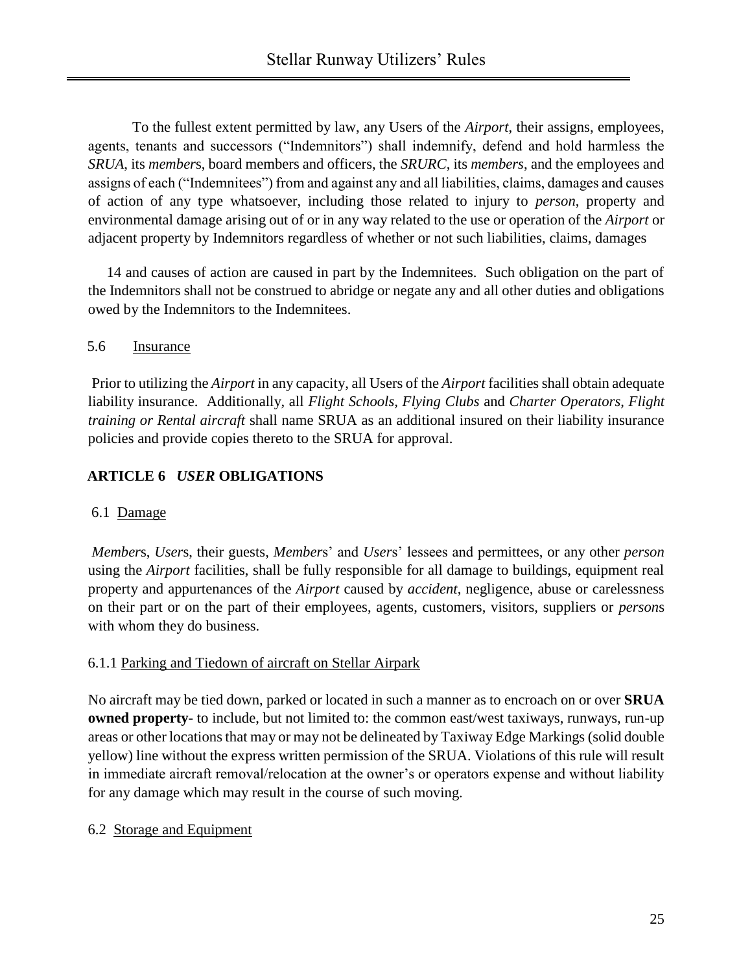To the fullest extent permitted by law, any Users of the *Airport*, their assigns, employees, agents, tenants and successors ("Indemnitors") shall indemnify, defend and hold harmless the *SRUA*, its *member*s, board members and officers, the *SRURC*, its *members*, and the employees and assigns of each ("Indemnitees") from and against any and all liabilities, claims, damages and causes of action of any type whatsoever, including those related to injury to *person*, property and environmental damage arising out of or in any way related to the use or operation of the *Airport* or adjacent property by Indemnitors regardless of whether or not such liabilities, claims, damages

 14 and causes of action are caused in part by the Indemnitees. Such obligation on the part of the Indemnitors shall not be construed to abridge or negate any and all other duties and obligations owed by the Indemnitors to the Indemnitees.

### 5.6 Insurance

Prior to utilizing the *Airport* in any capacity, all Users of the *Airport* facilities shall obtain adequate liability insurance. Additionally, all *Flight Schools, Flying Clubs* and *Charter Operators*, *Flight training or Rental aircraft* shall name SRUA as an additional insured on their liability insurance policies and provide copies thereto to the SRUA for approval.

# **ARTICLE 6** *USER* **OBLIGATIONS**

### 6.1 Damage

*Member*s, *User*s, their guests, *Member*s' and *User*s' lessees and permittees, or any other *person* using the *Airport* facilities, shall be fully responsible for all damage to buildings, equipment real property and appurtenances of the *Airport* caused by *accident*, negligence, abuse or carelessness on their part or on the part of their employees, agents, customers, visitors, suppliers or *person*s with whom they do business.

### 6.1.1 Parking and Tiedown of aircraft on Stellar Airpark

No aircraft may be tied down, parked or located in such a manner as to encroach on or over **SRUA owned property-** to include, but not limited to: the common east/west taxiways, runways, run-up areas or other locations that may or may not be delineated by Taxiway Edge Markings (solid double yellow) line without the express written permission of the SRUA. Violations of this rule will result in immediate aircraft removal/relocation at the owner's or operators expense and without liability for any damage which may result in the course of such moving.

### 6.2 Storage and Equipment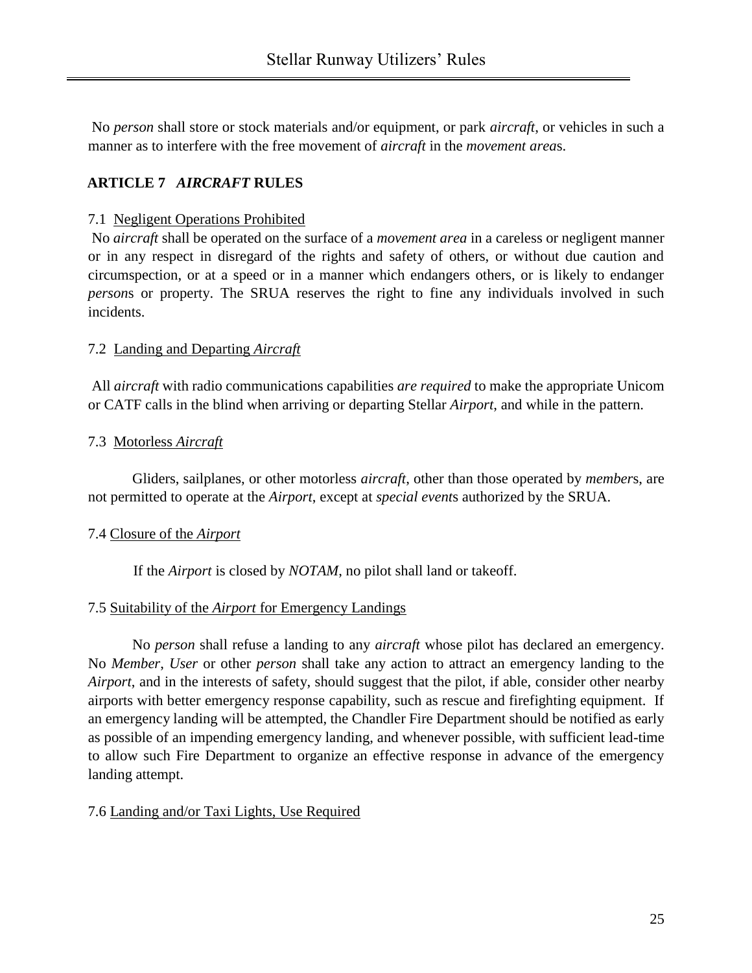No *person* shall store or stock materials and/or equipment, or park *aircraft*, or vehicles in such a manner as to interfere with the free movement of *aircraft* in the *movement area*s.

# **ARTICLE 7** *AIRCRAFT* **RULES**

### 7.1 Negligent Operations Prohibited

No *aircraft* shall be operated on the surface of a *movement area* in a careless or negligent manner or in any respect in disregard of the rights and safety of others, or without due caution and circumspection, or at a speed or in a manner which endangers others, or is likely to endanger *person*s or property. The SRUA reserves the right to fine any individuals involved in such incidents.

# 7.2 Landing and Departing *Aircraft*

All *aircraft* with radio communications capabilities *are required* to make the appropriate Unicom or CATF calls in the blind when arriving or departing Stellar *Airport*, and while in the pattern.

# 7.3 Motorless *Aircraft*

Gliders, sailplanes, or other motorless *aircraft*, other than those operated by *member*s, are not permitted to operate at the *Airport*, except at *special event*s authorized by the SRUA.

### 7.4 Closure of the *Airport*

If the *Airport* is closed by *NOTAM*, no pilot shall land or takeoff.

### 7.5 Suitability of the *Airport* for Emergency Landings

No *person* shall refuse a landing to any *aircraft* whose pilot has declared an emergency. No *Member*, *User* or other *person* shall take any action to attract an emergency landing to the *Airport*, and in the interests of safety, should suggest that the pilot, if able, consider other nearby airports with better emergency response capability, such as rescue and firefighting equipment. If an emergency landing will be attempted, the Chandler Fire Department should be notified as early as possible of an impending emergency landing, and whenever possible, with sufficient lead-time to allow such Fire Department to organize an effective response in advance of the emergency landing attempt.

### 7.6 Landing and/or Taxi Lights, Use Required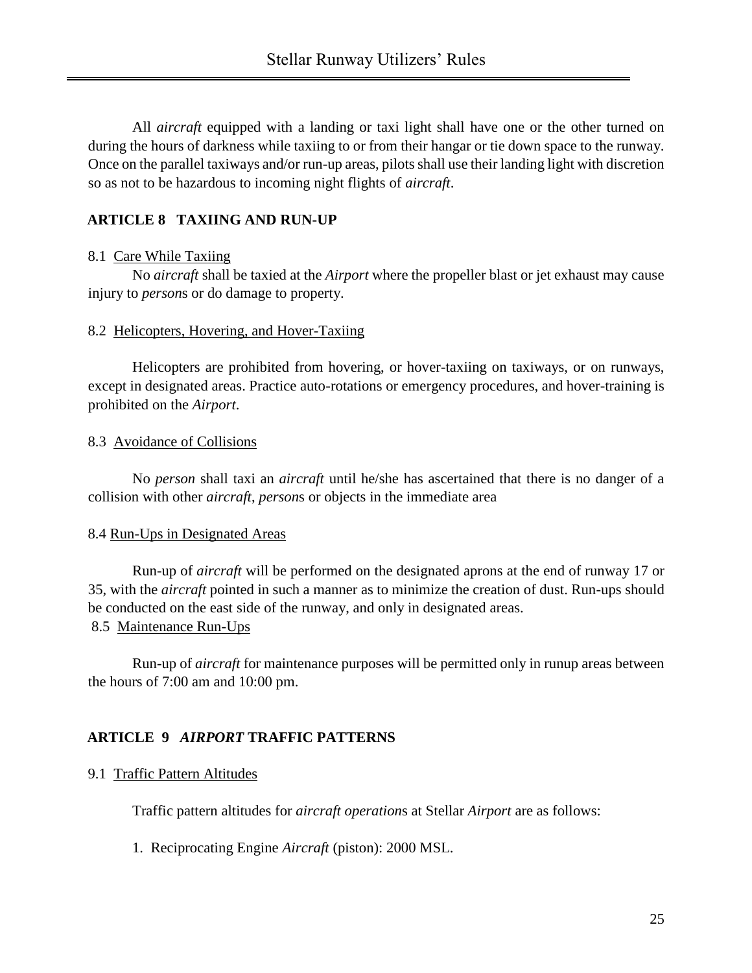All *aircraft* equipped with a landing or taxi light shall have one or the other turned on during the hours of darkness while taxiing to or from their hangar or tie down space to the runway. Once on the parallel taxiways and/or run-up areas, pilots shall use their landing light with discretion so as not to be hazardous to incoming night flights of *aircraft*.

# **ARTICLE 8 TAXIING AND RUN-UP**

#### 8.1 Care While Taxiing

No *aircraft* shall be taxied at the *Airport* where the propeller blast or jet exhaust may cause injury to *person*s or do damage to property.

#### 8.2 Helicopters, Hovering, and Hover-Taxiing

Helicopters are prohibited from hovering, or hover-taxiing on taxiways, or on runways, except in designated areas. Practice auto-rotations or emergency procedures, and hover-training is prohibited on the *Airport*.

#### 8.3 Avoidance of Collisions

No *person* shall taxi an *aircraft* until he/she has ascertained that there is no danger of a collision with other *aircraft*, *person*s or objects in the immediate area

#### 8.4 Run-Ups in Designated Areas

Run-up of *aircraft* will be performed on the designated aprons at the end of runway 17 or 35, with the *aircraft* pointed in such a manner as to minimize the creation of dust. Run-ups should be conducted on the east side of the runway, and only in designated areas. 8.5 Maintenance Run-Ups

Run-up of *aircraft* for maintenance purposes will be permitted only in runup areas between the hours of 7:00 am and 10:00 pm.

### **ARTICLE 9** *AIRPORT* **TRAFFIC PATTERNS**

### 9.1 Traffic Pattern Altitudes

Traffic pattern altitudes for *aircraft operation*s at Stellar *Airport* are as follows:

1. Reciprocating Engine *Aircraft* (piston): 2000 MSL.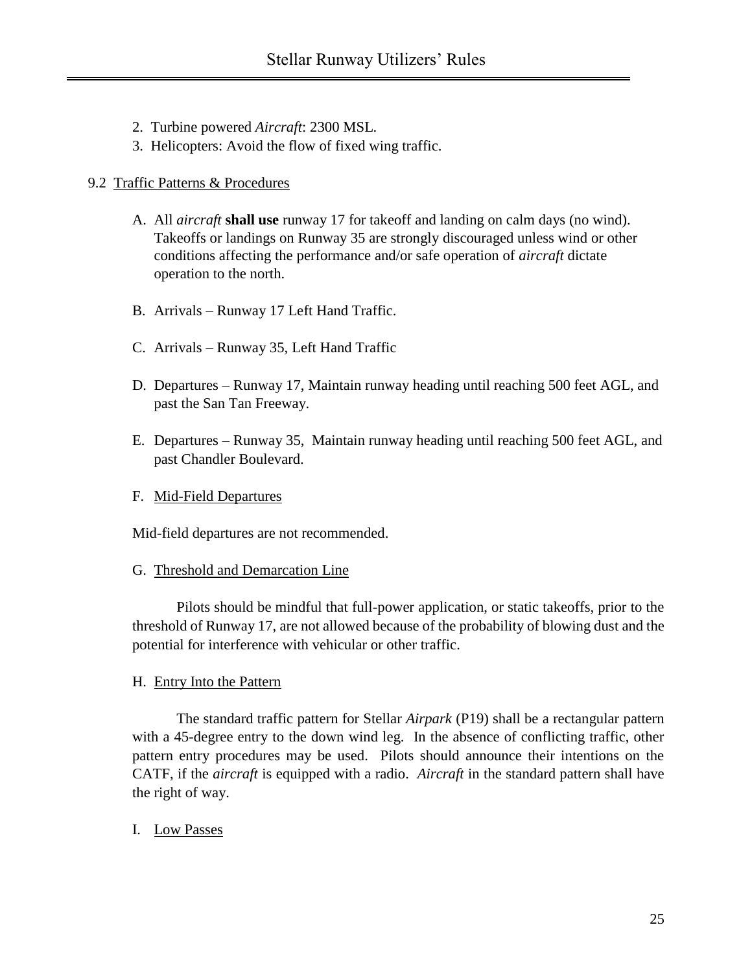- 2. Turbine powered *Aircraft*: 2300 MSL.
- 3. Helicopters: Avoid the flow of fixed wing traffic.

#### 9.2 Traffic Patterns & Procedures

- A. All *aircraft* **shall use** runway 17 for takeoff and landing on calm days (no wind). Takeoffs or landings on Runway 35 are strongly discouraged unless wind or other conditions affecting the performance and/or safe operation of *aircraft* dictate operation to the north.
- B. Arrivals Runway 17 Left Hand Traffic.
- C. Arrivals Runway 35, Left Hand Traffic
- D. Departures Runway 17, Maintain runway heading until reaching 500 feet AGL, and past the San Tan Freeway.
- E. Departures Runway 35, Maintain runway heading until reaching 500 feet AGL, and past Chandler Boulevard.
- F. Mid-Field Departures

Mid-field departures are not recommended.

#### G. Threshold and Demarcation Line

Pilots should be mindful that full-power application, or static takeoffs, prior to the threshold of Runway 17, are not allowed because of the probability of blowing dust and the potential for interference with vehicular or other traffic.

#### H. Entry Into the Pattern

The standard traffic pattern for Stellar *Airpark* (P19) shall be a rectangular pattern with a 45-degree entry to the down wind leg. In the absence of conflicting traffic, other pattern entry procedures may be used. Pilots should announce their intentions on the CATF, if the *aircraft* is equipped with a radio. *Aircraft* in the standard pattern shall have the right of way.

I. Low Passes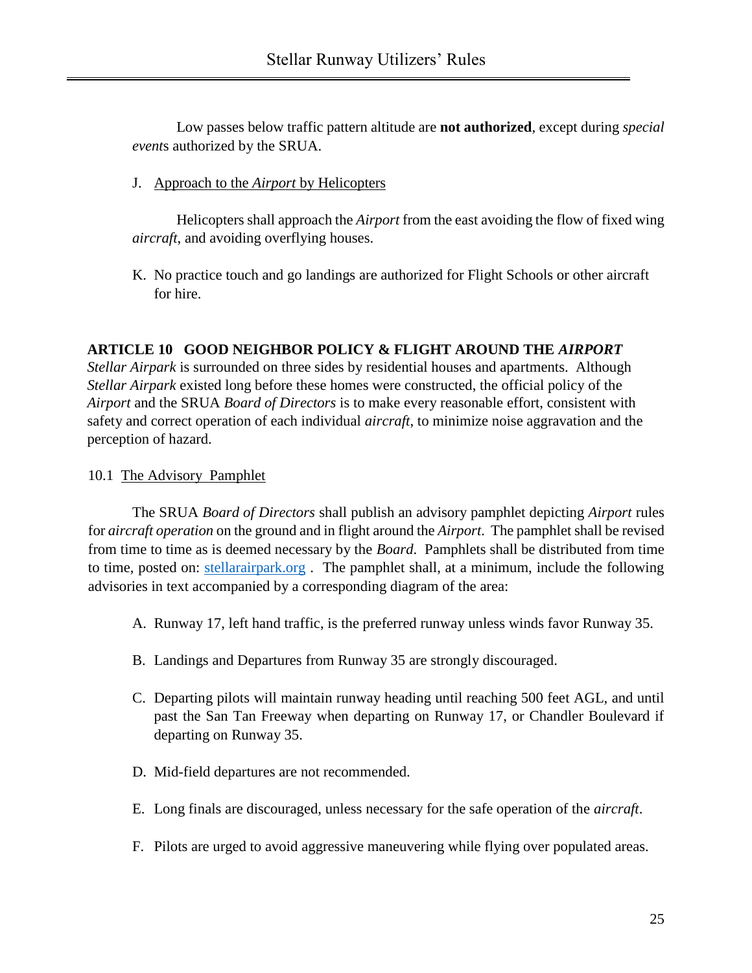Low passes below traffic pattern altitude are **not authorized**, except during *special event*s authorized by the SRUA.

J. Approach to the *Airport* by Helicopters

Helicopters shall approach the *Airport* from the east avoiding the flow of fixed wing *aircraft*, and avoiding overflying houses.

K. No practice touch and go landings are authorized for Flight Schools or other aircraft for hire.

### **ARTICLE 10 GOOD NEIGHBOR POLICY & FLIGHT AROUND THE** *AIRPORT*

*Stellar Airpark* is surrounded on three sides by residential houses and apartments. Although *Stellar Airpark* existed long before these homes were constructed, the official policy of the *Airport* and the SRUA *Board of Directors* is to make every reasonable effort, consistent with safety and correct operation of each individual *aircraft*, to minimize noise aggravation and the perception of hazard.

### 10.1 The Advisory Pamphlet

The SRUA *Board of Directors* shall publish an advisory pamphlet depicting *Airport* rules for *aircraft operation* on the ground and in flight around the *Airport*. The pamphlet shall be revised from time to time as is deemed necessary by the *Board*. Pamphlets shall be distributed from time to time, posted on: stellarairpark.org . The pamphlet shall, at a minimum, include the following advisories in text accompanied by a corresponding diagram of the area:

- A. Runway 17, left hand traffic, is the preferred runway unless winds favor Runway 35.
- B. Landings and Departures from Runway 35 are strongly discouraged.
- C. Departing pilots will maintain runway heading until reaching 500 feet AGL, and until past the San Tan Freeway when departing on Runway 17, or Chandler Boulevard if departing on Runway 35.
- D. Mid-field departures are not recommended.
- E. Long finals are discouraged, unless necessary for the safe operation of the *aircraft*.
- F. Pilots are urged to avoid aggressive maneuvering while flying over populated areas.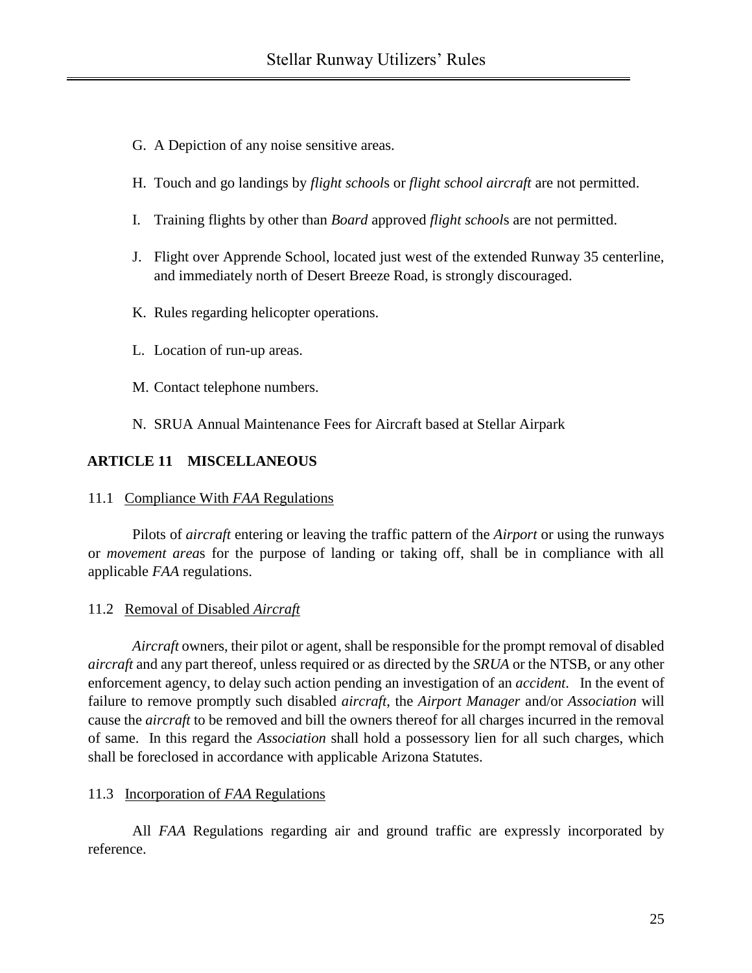- G. A Depiction of any noise sensitive areas.
- H. Touch and go landings by *flight school*s or *flight school aircraft* are not permitted.
- I. Training flights by other than *Board* approved *flight school*s are not permitted.
- J. Flight over Apprende School, located just west of the extended Runway 35 centerline, and immediately north of Desert Breeze Road, is strongly discouraged.
- K. Rules regarding helicopter operations.
- L. Location of run-up areas.
- M. Contact telephone numbers.
- N. SRUA Annual Maintenance Fees for Aircraft based at Stellar Airpark

### **ARTICLE 11 MISCELLANEOUS**

#### 11.1 Compliance With *FAA* Regulations

Pilots of *aircraft* entering or leaving the traffic pattern of the *Airport* or using the runways or *movement area*s for the purpose of landing or taking off, shall be in compliance with all applicable *FAA* regulations.

#### 11.2 Removal of Disabled *Aircraft*

*Aircraft* owners, their pilot or agent, shall be responsible for the prompt removal of disabled *aircraft* and any part thereof, unless required or as directed by the *SRUA* or the NTSB, or any other enforcement agency, to delay such action pending an investigation of an *accident*. In the event of failure to remove promptly such disabled *aircraft*, the *Airport Manager* and/or *Association* will cause the *aircraft* to be removed and bill the owners thereof for all charges incurred in the removal of same. In this regard the *Association* shall hold a possessory lien for all such charges, which shall be foreclosed in accordance with applicable Arizona Statutes.

### 11.3 Incorporation of *FAA* Regulations

All *FAA* Regulations regarding air and ground traffic are expressly incorporated by reference.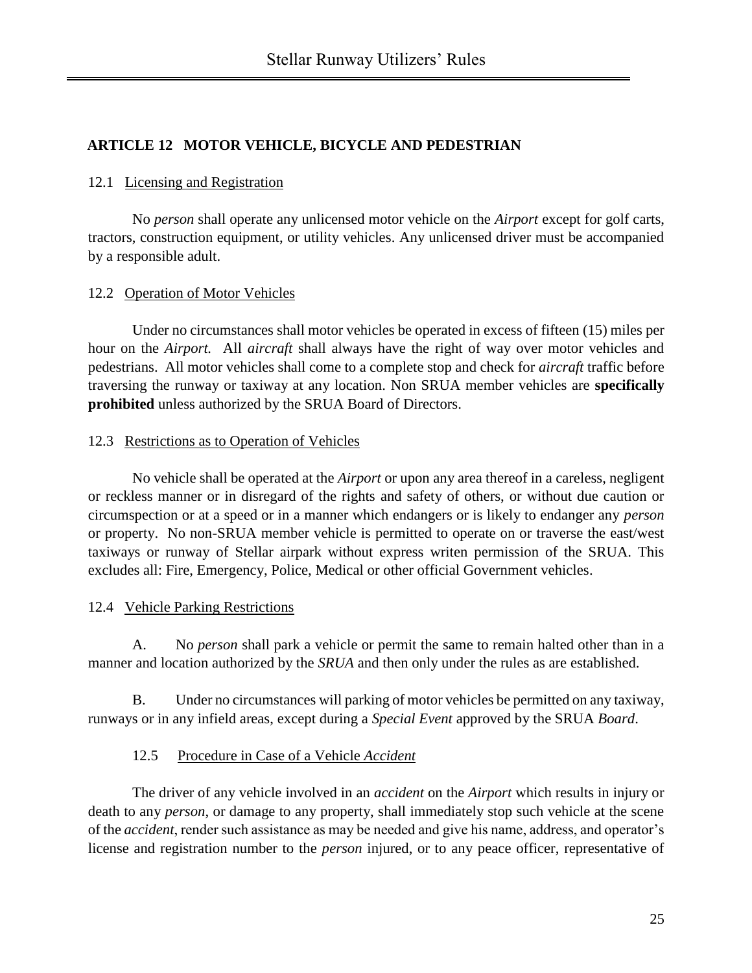# **ARTICLE 12 MOTOR VEHICLE, BICYCLE AND PEDESTRIAN**

### 12.1 Licensing and Registration

No *person* shall operate any unlicensed motor vehicle on the *Airport* except for golf carts, tractors, construction equipment, or utility vehicles. Any unlicensed driver must be accompanied by a responsible adult.

# 12.2 Operation of Motor Vehicles

Under no circumstances shall motor vehicles be operated in excess of fifteen (15) miles per hour on the *Airport.* All *aircraft* shall always have the right of way over motor vehicles and pedestrians. All motor vehicles shall come to a complete stop and check for *aircraft* traffic before traversing the runway or taxiway at any location. Non SRUA member vehicles are **specifically prohibited** unless authorized by the SRUA Board of Directors.

### 12.3 Restrictions as to Operation of Vehicles

No vehicle shall be operated at the *Airport* or upon any area thereof in a careless, negligent or reckless manner or in disregard of the rights and safety of others, or without due caution or circumspection or at a speed or in a manner which endangers or is likely to endanger any *person* or property. No non-SRUA member vehicle is permitted to operate on or traverse the east/west taxiways or runway of Stellar airpark without express writen permission of the SRUA. This excludes all: Fire, Emergency, Police, Medical or other official Government vehicles.

### 12.4 Vehicle Parking Restrictions

A. No *person* shall park a vehicle or permit the same to remain halted other than in a manner and location authorized by the *SRUA* and then only under the rules as are established.

B. Under no circumstances will parking of motor vehicles be permitted on any taxiway, runways or in any infield areas, except during a *Special Event* approved by the SRUA *Board*.

# 12.5 Procedure in Case of a Vehicle *Accident*

The driver of any vehicle involved in an *accident* on the *Airport* which results in injury or death to any *person*, or damage to any property, shall immediately stop such vehicle at the scene of the *accident*, render such assistance as may be needed and give his name, address, and operator's license and registration number to the *person* injured, or to any peace officer, representative of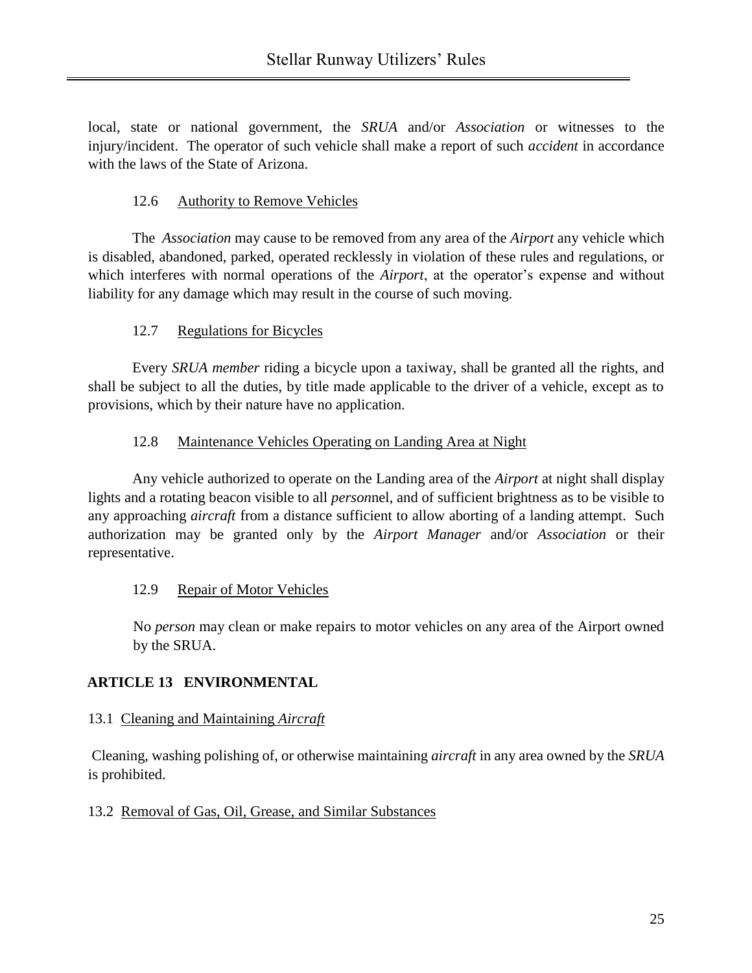local, state or national government, the *SRUA* and/or *Association* or witnesses to the injury/incident. The operator of such vehicle shall make a report of such *accident* in accordance with the laws of the State of Arizona.

### 12.6 Authority to Remove Vehicles

The *Association* may cause to be removed from any area of the *Airport* any vehicle which is disabled, abandoned, parked, operated recklessly in violation of these rules and regulations, or which interferes with normal operations of the *Airport*, at the operator's expense and without liability for any damage which may result in the course of such moving.

# 12.7 Regulations for Bicycles

Every *SRUA member* riding a bicycle upon a taxiway, shall be granted all the rights, and shall be subject to all the duties, by title made applicable to the driver of a vehicle, except as to provisions, which by their nature have no application.

# 12.8 Maintenance Vehicles Operating on Landing Area at Night

Any vehicle authorized to operate on the Landing area of the *Airport* at night shall display lights and a rotating beacon visible to all *person*nel, and of sufficient brightness as to be visible to any approaching *aircraft* from a distance sufficient to allow aborting of a landing attempt. Such authorization may be granted only by the *Airport Manager* and/or *Association* or their representative.

### 12.9 Repair of Motor Vehicles

No *person* may clean or make repairs to motor vehicles on any area of the Airport owned by the SRUA.

# **ARTICLE 13 ENVIRONMENTAL**

### 13.1 Cleaning and Maintaining *Aircraft*

Cleaning, washing polishing of, or otherwise maintaining *aircraft* in any area owned by the *SRUA* is prohibited.

### 13.2 Removal of Gas, Oil, Grease, and Similar Substances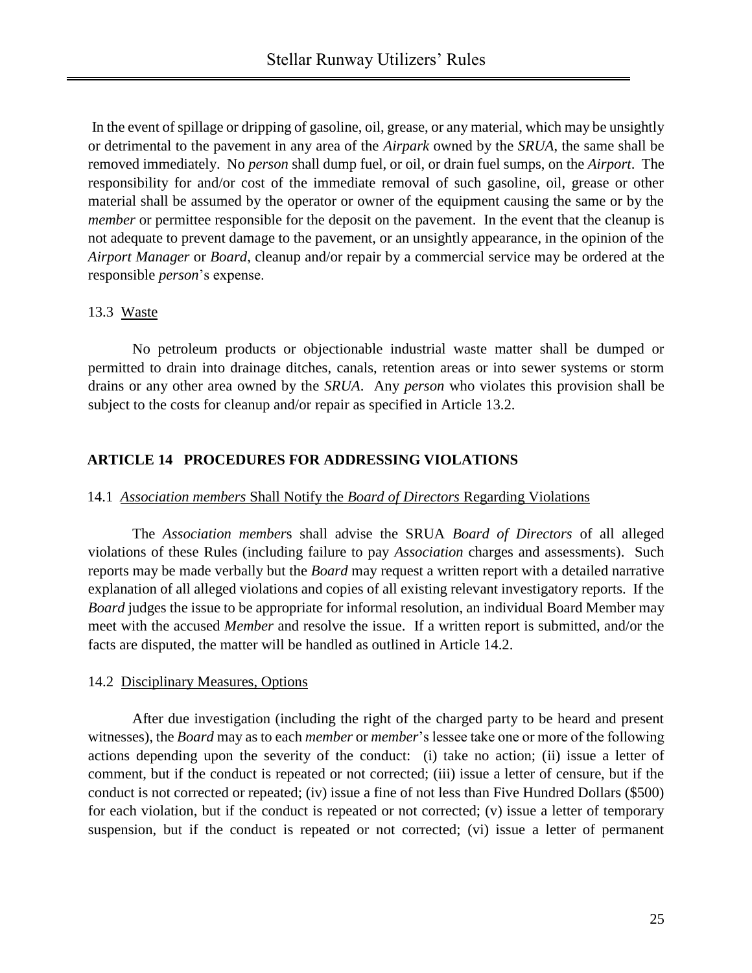In the event of spillage or dripping of gasoline, oil, grease, or any material, which may be unsightly or detrimental to the pavement in any area of the *Airpark* owned by the *SRUA*, the same shall be removed immediately. No *person* shall dump fuel, or oil, or drain fuel sumps, on the *Airport*. The responsibility for and/or cost of the immediate removal of such gasoline, oil, grease or other material shall be assumed by the operator or owner of the equipment causing the same or by the *member* or permittee responsible for the deposit on the pavement. In the event that the cleanup is not adequate to prevent damage to the pavement, or an unsightly appearance, in the opinion of the *Airport Manager* or *Board*, cleanup and/or repair by a commercial service may be ordered at the responsible *person*'s expense.

#### 13.3 Waste

No petroleum products or objectionable industrial waste matter shall be dumped or permitted to drain into drainage ditches, canals, retention areas or into sewer systems or storm drains or any other area owned by the *SRUA*. Any *person* who violates this provision shall be subject to the costs for cleanup and/or repair as specified in Article 13.2.

### **ARTICLE 14 PROCEDURES FOR ADDRESSING VIOLATIONS**

### 14.1 *Association members* Shall Notify the *Board of Directors* Regarding Violations

The *Association member*s shall advise the SRUA *Board of Directors* of all alleged violations of these Rules (including failure to pay *Association* charges and assessments). Such reports may be made verbally but the *Board* may request a written report with a detailed narrative explanation of all alleged violations and copies of all existing relevant investigatory reports. If the *Board* judges the issue to be appropriate for informal resolution, an individual Board Member may meet with the accused *Member* and resolve the issue. If a written report is submitted, and/or the facts are disputed, the matter will be handled as outlined in Article 14.2.

#### 14.2 Disciplinary Measures, Options

After due investigation (including the right of the charged party to be heard and present witnesses), the *Board* may as to each *member* or *member*'s lessee take one or more of the following actions depending upon the severity of the conduct: (i) take no action; (ii) issue a letter of comment, but if the conduct is repeated or not corrected; (iii) issue a letter of censure, but if the conduct is not corrected or repeated; (iv) issue a fine of not less than Five Hundred Dollars (\$500) for each violation, but if the conduct is repeated or not corrected; (v) issue a letter of temporary suspension, but if the conduct is repeated or not corrected; (vi) issue a letter of permanent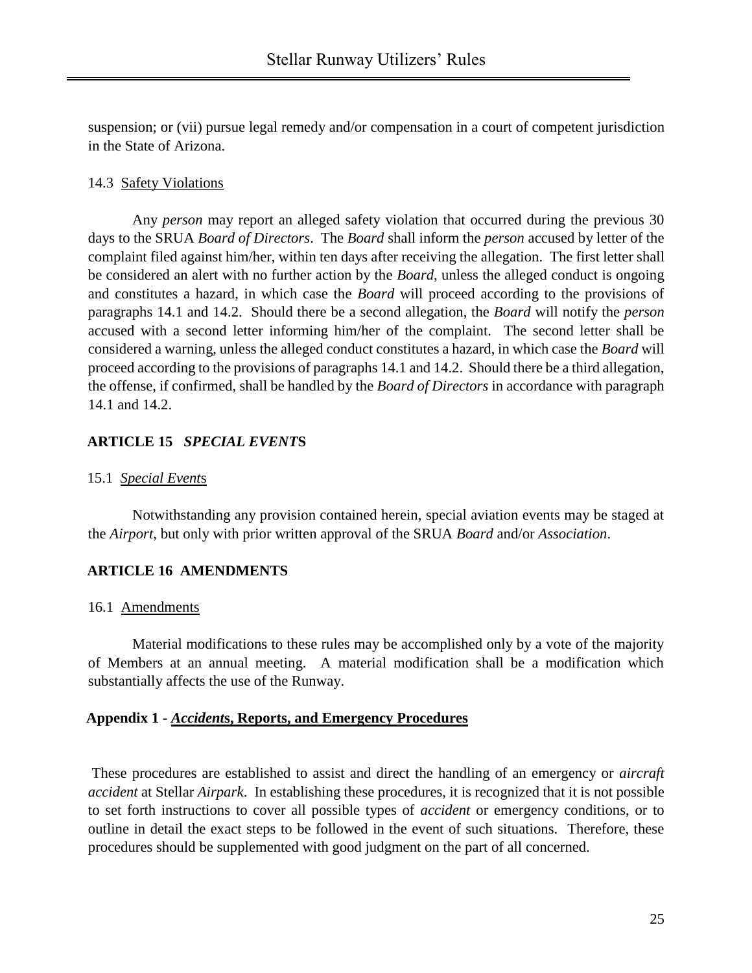suspension; or (vii) pursue legal remedy and/or compensation in a court of competent jurisdiction in the State of Arizona.

#### 14.3 Safety Violations

Any *person* may report an alleged safety violation that occurred during the previous 30 days to the SRUA *Board of Directors*. The *Board* shall inform the *person* accused by letter of the complaint filed against him/her, within ten days after receiving the allegation. The first letter shall be considered an alert with no further action by the *Board*, unless the alleged conduct is ongoing and constitutes a hazard, in which case the *Board* will proceed according to the provisions of paragraphs 14.1 and 14.2. Should there be a second allegation, the *Board* will notify the *person* accused with a second letter informing him/her of the complaint. The second letter shall be considered a warning, unless the alleged conduct constitutes a hazard, in which case the *Board* will proceed according to the provisions of paragraphs 14.1 and 14.2. Should there be a third allegation, the offense, if confirmed, shall be handled by the *Board of Directors* in accordance with paragraph 14.1 and 14.2.

### **ARTICLE 15** *SPECIAL EVENT***S**

#### 15.1 *Special Event*s

Notwithstanding any provision contained herein, special aviation events may be staged at the *Airport*, but only with prior written approval of the SRUA *Board* and/or *Association*.

### **ARTICLE 16 AMENDMENTS**

#### 16.1 Amendments

Material modifications to these rules may be accomplished only by a vote of the majority of Members at an annual meeting. A material modification shall be a modification which substantially affects the use of the Runway.

#### **Appendix 1 -** *Accident***s, Reports, and Emergency Procedures**

These procedures are established to assist and direct the handling of an emergency or *aircraft accident* at Stellar *Airpark*. In establishing these procedures, it is recognized that it is not possible to set forth instructions to cover all possible types of *accident* or emergency conditions, or to outline in detail the exact steps to be followed in the event of such situations. Therefore, these procedures should be supplemented with good judgment on the part of all concerned.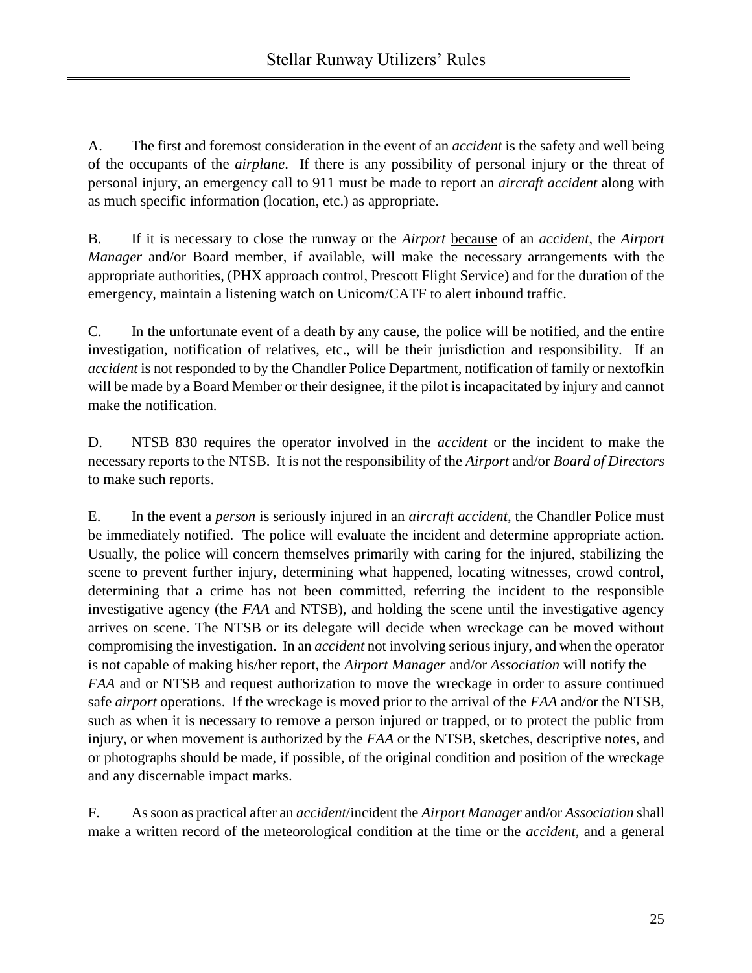A. The first and foremost consideration in the event of an *accident* is the safety and well being of the occupants of the *airplane*. If there is any possibility of personal injury or the threat of personal injury, an emergency call to 911 must be made to report an *aircraft accident* along with as much specific information (location, etc.) as appropriate.

B. If it is necessary to close the runway or the *Airport* because of an *accident*, the *Airport Manager* and/or Board member, if available, will make the necessary arrangements with the appropriate authorities, (PHX approach control, Prescott Flight Service) and for the duration of the emergency, maintain a listening watch on Unicom/CATF to alert inbound traffic.

C. In the unfortunate event of a death by any cause, the police will be notified, and the entire investigation, notification of relatives, etc., will be their jurisdiction and responsibility. If an *accident* is not responded to by the Chandler Police Department, notification of family or nextofkin will be made by a Board Member or their designee, if the pilot is incapacitated by injury and cannot make the notification.

D. NTSB 830 requires the operator involved in the *accident* or the incident to make the necessary reports to the NTSB. It is not the responsibility of the *Airport* and/or *Board of Directors* to make such reports.

E. In the event a *person* is seriously injured in an *aircraft accident*, the Chandler Police must be immediately notified. The police will evaluate the incident and determine appropriate action. Usually, the police will concern themselves primarily with caring for the injured, stabilizing the scene to prevent further injury, determining what happened, locating witnesses, crowd control, determining that a crime has not been committed, referring the incident to the responsible investigative agency (the *FAA* and NTSB), and holding the scene until the investigative agency arrives on scene. The NTSB or its delegate will decide when wreckage can be moved without compromising the investigation. In an *accident* not involving serious injury, and when the operator is not capable of making his/her report, the *Airport Manager* and/or *Association* will notify the *FAA* and or NTSB and request authorization to move the wreckage in order to assure continued safe *airport* operations. If the wreckage is moved prior to the arrival of the *FAA* and/or the NTSB, such as when it is necessary to remove a person injured or trapped, or to protect the public from injury, or when movement is authorized by the *FAA* or the NTSB, sketches, descriptive notes, and or photographs should be made, if possible, of the original condition and position of the wreckage and any discernable impact marks.

F. As soon as practical after an *accident*/incident the *Airport Manager* and/or *Association* shall make a written record of the meteorological condition at the time or the *accident*, and a general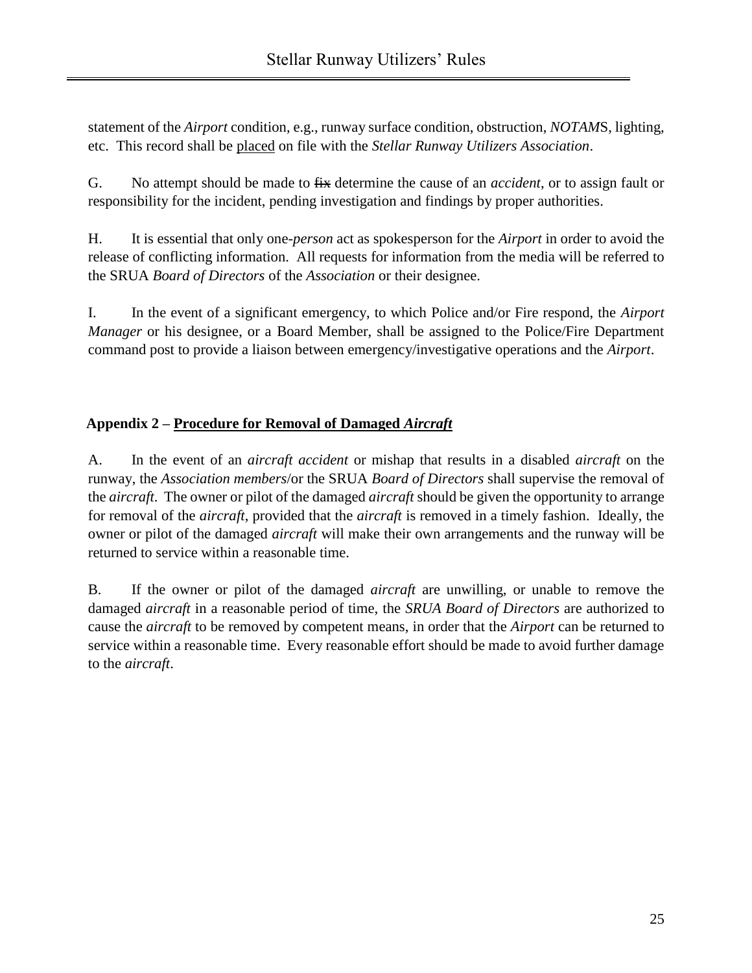statement of the *Airport* condition, e.g., runway surface condition, obstruction, *NOTAM*S, lighting, etc. This record shall be placed on file with the *Stellar Runway Utilizers Association*.

G. No attempt should be made to fix determine the cause of an *accident*, or to assign fault or responsibility for the incident, pending investigation and findings by proper authorities.

H. It is essential that only one-*person* act as spokesperson for the *Airport* in order to avoid the release of conflicting information. All requests for information from the media will be referred to the SRUA *Board of Directors* of the *Association* or their designee.

I. In the event of a significant emergency, to which Police and/or Fire respond, the *Airport Manager* or his designee, or a Board Member, shall be assigned to the Police/Fire Department command post to provide a liaison between emergency/investigative operations and the *Airport*.

# **Appendix 2 – Procedure for Removal of Damaged** *Aircraft*

A. In the event of an *aircraft accident* or mishap that results in a disabled *aircraft* on the runway, the *Association members*/or the SRUA *Board of Directors* shall supervise the removal of the *aircraft*. The owner or pilot of the damaged *aircraft* should be given the opportunity to arrange for removal of the *aircraft*, provided that the *aircraft* is removed in a timely fashion. Ideally, the owner or pilot of the damaged *aircraft* will make their own arrangements and the runway will be returned to service within a reasonable time.

B. If the owner or pilot of the damaged *aircraft* are unwilling, or unable to remove the damaged *aircraft* in a reasonable period of time, the *SRUA Board of Directors* are authorized to cause the *aircraft* to be removed by competent means, in order that the *Airport* can be returned to service within a reasonable time. Every reasonable effort should be made to avoid further damage to the *aircraft*.